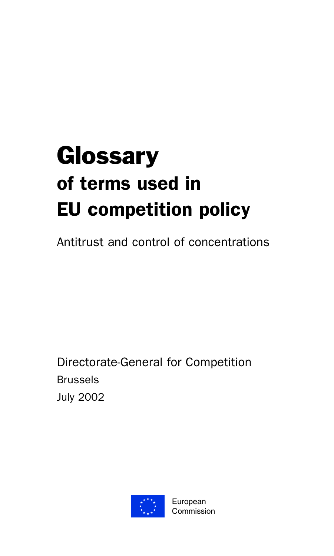# **Glossary** of terms used in EU competition policy

Antitrust and control of concentrations

Directorate-General for Competition Brussels July 2002

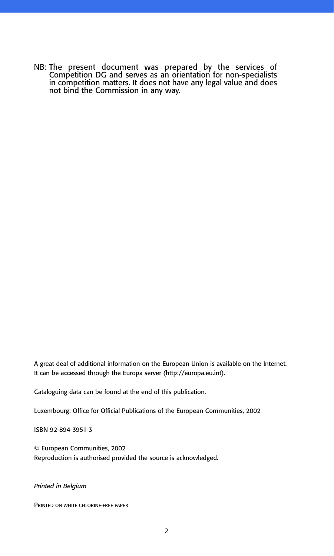NB: The present document was prepared by the services of Competition DG and serves as an orientation for non-specialists in competition matters. It does not have any legal value and does not bind the Commission in any way.

A great deal of additional information on the European Union is available on the Internet. It can be accessed through the Europa server (http://europa.eu.int).

Cataloguing data can be found at the end of this publication.

Luxembourg: Office for Official Publications of the European Communities, 2002

ISBN 92-894-3951-3

© European Communities, 2002 Reproduction is authorised provided the source is acknowledged.

#### *Printed in Belgium*

PRINTED ON WHITE CHLORINE-FREE PAPER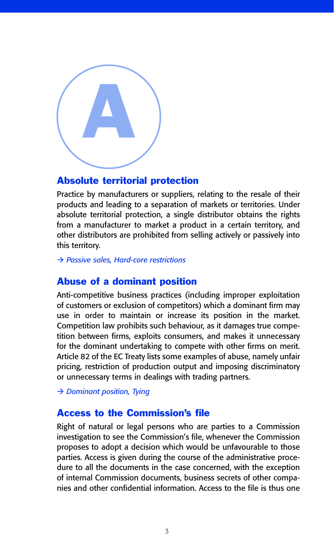

## Absolute territorial protection

Practice by manufacturers or suppliers, relating to the resale of their products and leading to a separation of markets or territories. Under absolute territorial protection, a single distributor obtains the rights from a manufacturer to market a product in a certain territory, and other distributors are prohibited from selling actively or passively into this territory.

- *Passive sales, Hard-core restrictions*

#### Abuse of a dominant position

Anti-competitive business practices (including improper exploitation of customers or exclusion of competitors) which a dominant firm may use in order to maintain or increase its position in the market. Competition law prohibits such behaviour, as it damages true competition between firms, exploits consumers, and makes it unnecessary for the dominant undertaking to compete with other firms on merit. Article 82 of the EC Treaty lists some examples of abuse, namely unfair pricing, restriction of production output and imposing discriminatory or unnecessary terms in dealings with trading partners.

- *Dominant position, Tying*

## Access to the Commission's file

Right of natural or legal persons who are parties to a Commission investigation to see the Commission's file, whenever the Commission proposes to adopt a decision which would be unfavourable to those parties. Access is given during the course of the administrative procedure to all the documents in the case concerned, with the exception of internal Commission documents, business secrets of other companies and other confidential information. Access to the file is thus one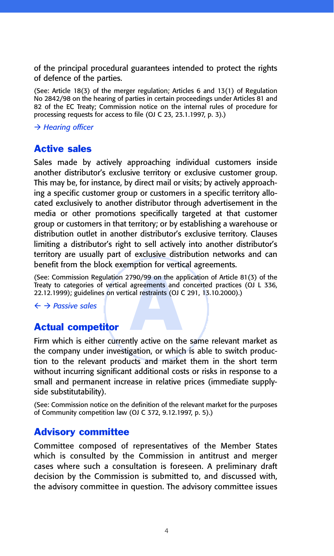of the principal procedural guarantees intended to protect the rights of defence of the parties.

(See: Article 18(3) of the merger regulation; Articles 6 and 13(1) of Regulation No 2842/98 on the hearing of parties in certain proceedings under Articles 81 and 82 of the EC Treaty; Commission notice on the internal rules of procedure for processing requests for access to file (OJ C 23, 23.1.1997, p. 3).)

- *Hearing officer*

# Active sales

Sales made by actively approaching individual customers inside another distributor's exclusive territory or exclusive customer group. This may be, for instance, by direct mail or visits; by actively approaching a specific customer group or customers in a specific territory allocated exclusively to another distributor through advertisement in the media or other promotions specifically targeted at that customer group or customers in that territory; or by establishing a warehouse or distribution outlet in another distributor's exclusive territory. Clauses limiting a distributor's right to sell actively into another distributor's territory are usually part of exclusive distribution networks and can benefit from the block exemption for vertical agreements.

790/99 on the ap<br>agreements and collectraints (OJ C<br>And restraints (OJ C<br>And restraints (OJ C<br>And restraints on the strike on the strike on the strike on the strike on the strike on the strike on the strike on the strike o (See: Commission Regulation 2790/99 on the application of Article 81(3) of the Treaty to categories of vertical agreements and concerted practices (OJ L 336, 22.12.1999); guidelines on vertical restraints (OJ C 291, 13.10.2000).)

#### - *Passive sales*

## Actual competitor

Firm which is either currently active on the same relevant market as the company under investigation, or which is able to switch production to the relevant products and market them in the short term without incurring significant additional costs or risks in response to a small and permanent increase in relative prices (immediate supplyside substitutability).

(See: Commission notice on the definition of the relevant market for the purposes of Community competition law (OJ C 372, 9.12.1997, p. 5).)

## Advisory committee

Committee composed of representatives of the Member States which is consulted by the Commission in antitrust and merger cases where such a consultation is foreseen. A preliminary draft decision by the Commission is submitted to, and discussed with, the advisory committee in question. The advisory committee issues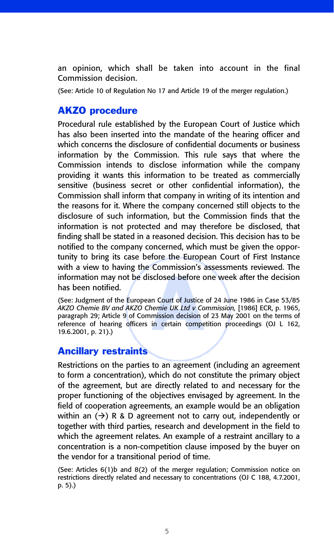an opinion, which shall be taken into account in the final Commission decision.

(See: Article 10 of Regulation No 17 and Article 19 of the merger regulation.)

#### AKZO procedure

Procedural rule established by the European Court of Justice which has also been inserted into the mandate of the hearing officer and which concerns the disclosure of confidential documents or business information by the Commission. This rule says that where the Commission intends to disclose information while the company providing it wants this information to be treated as commercially sensitive (business secret or other confidential information), the Commission shall inform that company in writing of its intention and the reasons for it. Where the company concerned still objects to the disclosure of such information, but the Commission finds that the information is not protected and may therefore be disclosed, that finding shall be stated in a reasoned decision. This decision has to be notified to the company concerned, which must be given the opportunity to bring its case before the European Court of First Instance with a view to having the Commission's assessments reviewed. The has been notified.

information may not be disclosed before one week after the decision<br>has been notified.<br>(See: Judgment of the European Court of Justice of 24 June 1986 in Case 53/85<br>AKZO Chemie BV and AKZO Chemie UK Ltd v Commission, [1986 (See: Judgment of the European Court of Justice of 24 June 1986 in Case 53/85 *AKZO Chemie BV and AKZO Chemie UK Ltd v Commission,* [1986] ECR, p. 1965, paragraph 29; Article 9 of Commission decision of 23 May 2001 on the terms of reference of hearing officers in certain competition proceedings (OJ L 162, 19.6.2001, p. 21).)

#### Ancillary restraints

Restrictions on the parties to an agreement (including an agreement to form a concentration), which do not constitute the primary object of the agreement, but are directly related to and necessary for the proper functioning of the objectives envisaged by agreement. In the field of cooperation agreements, an example would be an obligation within an  $(\rightarrow)$  R & D agreement not to carry out, independently or together with third parties, research and development in the field to which the agreement relates. An example of a restraint ancillary to a concentration is a non-competition clause imposed by the buyer on the vendor for a transitional period of time.

(See: Articles 6(1)b and 8(2) of the merger regulation; Commission notice on restrictions directly related and necessary to concentrations (OJ C 188, 4.7.2001, p. 5).)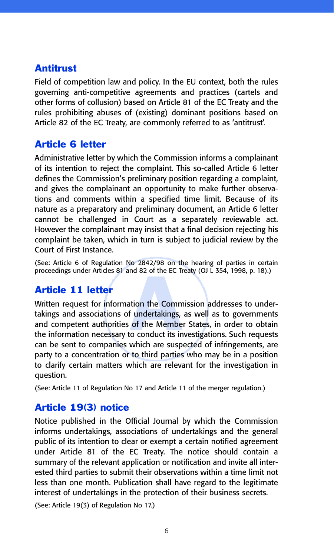# Antitrust

Field of competition law and policy. In the EU context, both the rules governing anti-competitive agreements and practices (cartels and other forms of collusion) based on Article 81 of the EC Treaty and the rules prohibiting abuses of (existing) dominant positions based on Article 82 of the EC Treaty, are commonly referred to as 'antitrust'.

# Article 6 letter

Administrative letter by which the Commission informs a complainant of its intention to reject the complaint. This so-called Article 6 letter defines the Commission's preliminary position regarding a complaint, and gives the complainant an opportunity to make further observations and comments within a specified time limit. Because of its nature as a preparatory and preliminary document, an Article 6 letter cannot be challenged in Court as a separately reviewable act. However the complainant may insist that a final decision rejecting his complaint be taken, which in turn is subject to judicial review by the Court of First Instance.

(See: Article 6 of Regulation No 2842/98 on the hearing of parties in certain proceedings under Articles 81 and 82 of the EC Treaty (OJ L 354, 1998, p. 18).)

# Article 11 letter

And of Strate Le Million<br>fundertakings,<br>of the Member<br>to conduct its in Written request for information the Commission addresses to undertakings and associations of undertakings, as well as to governments and competent authorities of the Member States, in order to obtain the information necessary to conduct its investigations. Such requests can be sent to companies which are suspected of infringements, are party to a concentration or to third parties who may be in a position to clarify certain matters which are relevant for the investigation in question.

(See: Article 11 of Regulation No 17 and Article 11 of the merger regulation.)

# Article 19(3) notice

Notice published in the Official Journal by which the Commission informs undertakings, associations of undertakings and the general public of its intention to clear or exempt a certain notified agreement under Article 81 of the EC Treaty. The notice should contain a summary of the relevant application or notification and invite all interested third parties to submit their observations within a time limit not less than one month. Publication shall have regard to the legitimate interest of undertakings in the protection of their business secrets.

(See: Article 19(3) of Regulation No 17.)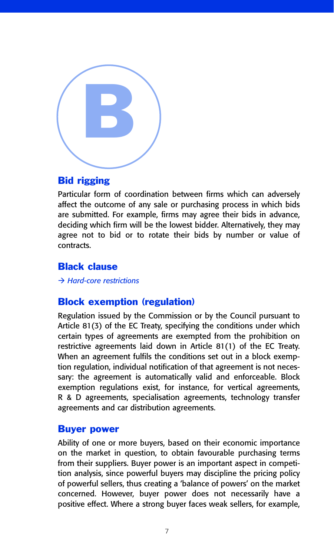

#### Bid rigging

Particular form of coordination between firms which can adversely affect the outcome of any sale or purchasing process in which bids are submitted. For example, firms may agree their bids in advance, deciding which firm will be the lowest bidder. Alternatively, they may agree not to bid or to rotate their bids by number or value of contracts.

## Black clause

- *Hard-core restrictions*

## Block exemption (regulation)

Regulation issued by the Commission or by the Council pursuant to Article 81(3) of the EC Treaty, specifying the conditions under which certain types of agreements are exempted from the prohibition on restrictive agreements laid down in Article 81(1) of the EC Treaty. When an agreement fulfils the conditions set out in a block exemption regulation, individual notification of that agreement is not necessary: the agreement is automatically valid and enforceable. Block exemption regulations exist, for instance, for vertical agreements, R & D agreements, specialisation agreements, technology transfer agreements and car distribution agreements.

#### Buyer power

Ability of one or more buyers, based on their economic importance on the market in question, to obtain favourable purchasing terms from their suppliers. Buyer power is an important aspect in competition analysis, since powerful buyers may discipline the pricing policy of powerful sellers, thus creating a 'balance of powers' on the market concerned. However, buyer power does not necessarily have a positive effect. Where a strong buyer faces weak sellers, for example,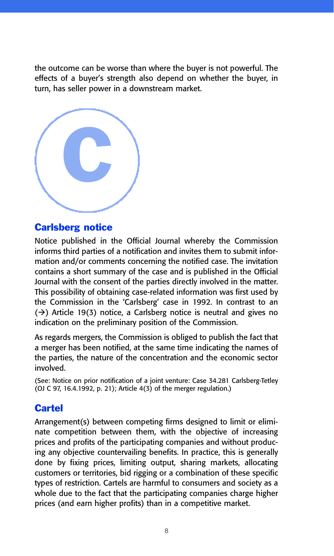the outcome can be worse than where the buyer is not powerful. The effects of a buyer's strength also depend on whether the buyer, in turn, has seller power in a downstream market.



#### Carlsberg notice

Notice published in the Official Journal whereby the Commission informs third parties of a notification and invites them to submit information and/or comments concerning the notified case. The invitation contains a short summary of the case and is published in the Official Journal with the consent of the parties directly involved in the matter. This possibility of obtaining case-related information was first used by the Commission in the 'Carlsberg' case in 1992. In contrast to an  $(\rightarrow)$  Article 19(3) notice, a Carlsberg notice is neutral and gives no indication on the preliminary position of the Commission.

As regards mergers, the Commission is obliged to publish the fact that a merger has been notified, at the same time indicating the names of the parties, the nature of the concentration and the economic sector involved.

(See: Notice on prior notification of a joint venture: Case 34.281 Carlsberg-Tetley (OJ C 97, 16.4.1992, p. 21); Article 4(3) of the merger regulation.)

# **Cartel**

Arrangement(s) between competing firms designed to limit or eliminate competition between them, with the objective of increasing prices and profits of the participating companies and without producing any objective countervailing benefits. In practice, this is generally done by fixing prices, limiting output, sharing markets, allocating customers or territories, bid rigging or a combination of these specific types of restriction. Cartels are harmful to consumers and society as a whole due to the fact that the participating companies charge higher prices (and earn higher profits) than in a competitive market.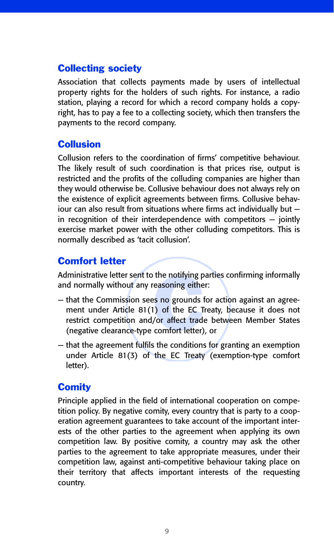## Collecting society

Association that collects payments made by users of intellectual property rights for the holders of such rights. For instance, a radio station, playing a record for which a record company holds a copyright, has to pay a fee to a collecting society, which then transfers the payments to the record company.

## **Collusion**

Collusion refers to the coordination of firms' competitive behaviour. The likely result of such coordination is that prices rise, output is restricted and the profits of the colluding companies are higher than they would otherwise be. Collusive behaviour does not always rely on the existence of explicit agreements between firms. Collusive behaviour can also result from situations where firms act individually but in recognition of their interdependence with competitors — jointly exercise market power with the other colluding competitors. This is normally described as 'tacit collusion'.

# Comfort letter

Administrative letter sent to the notifying parties confirming informally and normally without any reasoning either:

- the notifying p<br>easoning either<br>s no grounds<br>() of the EC T<br>/or affect trad<br>comfort letter) — that the Commission sees no grounds for action against an agreement under Article 81(1) of the EC Treaty, because it does not restrict competition and/or affect trade between Member States (negative clearance-type comfort letter), or
- that the agreement fulfils the conditions for granting an exemption under Article 81(3) of the EC Treaty (exemption-type comfort letter).

## **Comity**

Principle applied in the field of international cooperation on competition policy. By negative comity, every country that is party to a cooperation agreement guarantees to take account of the important interests of the other parties to the agreement when applying its own competition law. By positive comity, a country may ask the other parties to the agreement to take appropriate measures, under their competition law, against anti-competitive behaviour taking place on their territory that affects important interests of the requesting country.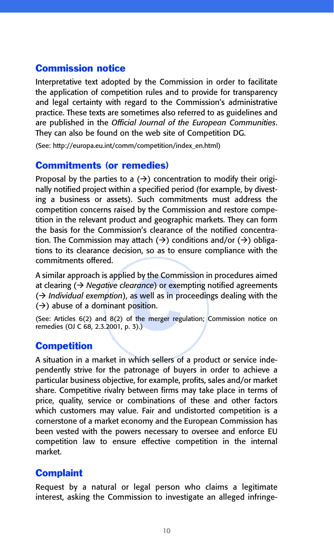# Commission notice

Interpretative text adopted by the Commission in order to facilitate the application of competition rules and to provide for transparency and legal certainty with regard to the Commission's administrative practice. These texts are sometimes also referred to as guidelines and are published in the *Official Journal of the European Communities*. They can also be found on the web site of Competition DG.

(See: http://europa.eu.int/comm/competition/index\_en.html)

#### Commitments (or remedies)

Proposal by the parties to a  $(\rightarrow)$  concentration to modify their originally notified project within a specified period (for example, by divesting a business or assets). Such commitments must address the competition concerns raised by the Commission and restore competition in the relevant product and geographic markets. They can form the basis for the Commission's clearance of the notified concentration. The Commission may attach  $(\rightarrow)$  conditions and/or  $(\rightarrow)$  obligations to its clearance decision, so as to ensure compliance with the commitments offered.

d by the Comm<br>*arance*) or exer<br>as well as in pr<br>position.<br>f the merger reg<br>3).) A similar approach is applied by the Commission in procedures aimed at clearing ( $\rightarrow$  *Negative clearance*) or exempting notified agreements (→ *Individual exemption*), as well as in proceedings dealing with the  $(\rightarrow)$  abuse of a dominant position.

(See: Articles 6(2) and 8(2) of the merger regulation; Commission notice on remedies (OJ C 68, 2.3.2001, p. 3).)

## **Competition**

A situation in a market in which sellers of a product or service independently strive for the patronage of buyers in order to achieve a particular business objective, for example, profits, sales and/or market share. Competitive rivalry between firms may take place in terms of price, quality, service or combinations of these and other factors which customers may value. Fair and undistorted competition is a cornerstone of a market economy and the European Commission has been vested with the powers necessary to oversee and enforce EU competition law to ensure effective competition in the internal market.

## **Complaint**

Request by a natural or legal person who claims a legitimate interest, asking the Commission to investigate an alleged infringe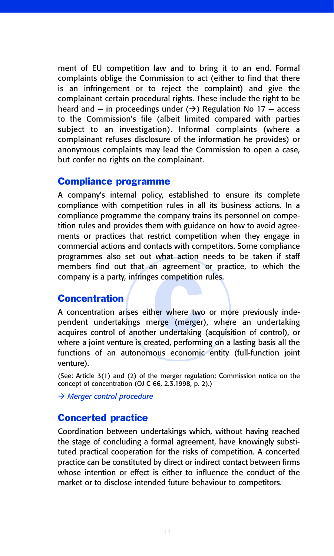ment of EU competition law and to bring it to an end. Formal complaints oblige the Commission to act (either to find that there is an infringement or to reject the complaint) and give the complainant certain procedural rights. These include the right to be heard and  $-$  in proceedings under  $(\rightarrow)$  Regulation No 17  $-$  access to the Commission's file (albeit limited compared with parties subject to an investigation). Informal complaints (where a complainant refuses disclosure of the information he provides) or anonymous complaints may lead the Commission to open a case, but confer no rights on the complainant.

#### Compliance programme

A company's internal policy, established to ensure its complete compliance with competition rules in all its business actions. In a compliance programme the company trains its personnel on competition rules and provides them with guidance on how to avoid agreements or practices that restrict competition when they engage in commercial actions and contacts with competitors. Some compliance programmes also set out what action needs to be taken if staff members find out that an agreement or practice, to which the company is a party, infringes competition rules.

## **Concentration**

Expressed competition<br>
Noting the two discrepance<br>
Internal contracting<br>
Note that the content of the two discrepance<br>
Internal content of the content of the content of the content of the content of the content of the cont A concentration arises either where two or more previously independent undertakings merge (merger), where an undertaking acquires control of another undertaking (acquisition of control), or where a joint venture is created, performing on a lasting basis all the functions of an autonomous economic entity (full-function joint venture).

(See: Article 3(1) and (2) of the merger regulation; Commission notice on the concept of concentration (OJ C 66, 2.3.1998, p. 2).)

- *Merger control procedure*

## Concerted practice

Coordination between undertakings which, without having reached the stage of concluding a formal agreement, have knowingly substituted practical cooperation for the risks of competition. A concerted practice can be constituted by direct or indirect contact between firms whose intention or effect is either to influence the conduct of the market or to disclose intended future behaviour to competitors.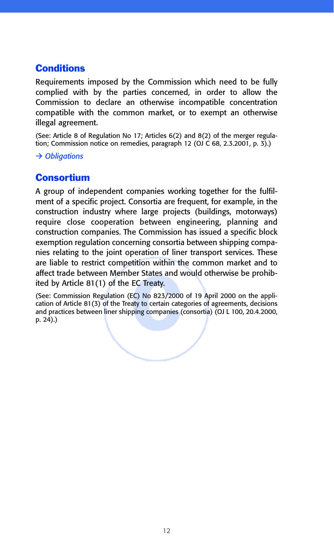# **Conditions**

Requirements imposed by the Commission which need to be fully complied with by the parties concerned, in order to allow the Commission to declare an otherwise incompatible concentration compatible with the common market, or to exempt an otherwise illegal agreement.

(See: Article 8 of Regulation No 17; Articles 6(2) and 8(2) of the merger regulation; Commission notice on remedies, paragraph 12 (OJ C 68, 2.3.2001, p. 3).)

- *Obligations*

# **Consortium**

A group of independent companies working together for the fulfilment of a specific project. Consortia are frequent, for example, in the construction industry where large projects (buildings, motorways) require close cooperation between engineering, planning and construction companies. The Commission has issued a specific block exemption regulation concerning consortia between shipping companies relating to the joint operation of liner transport services. These are liable to restrict competition within the common market and to affect trade between Member States and would otherwise be prohibited by Article 81(1) of the EC Treaty.

For States and NEC Treaty.<br>EC Treaty.<br>EC) No 823/2000<br>aty to certain cate<br>ping companies ( (See: Commission Regulation (EC) No 823/2000 of 19 April 2000 on the application of Article 81(3) of the Treaty to certain categories of agreements, decisions and practices between liner shipping companies (consortia) (OJ L 100, 20.4.2000, p. 24).)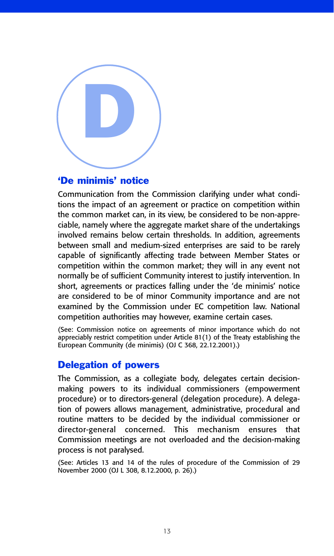

#### 'De minimis' notice

Communication from the Commission clarifying under what conditions the impact of an agreement or practice on competition within the common market can, in its view, be considered to be non-appreciable, namely where the aggregate market share of the undertakings involved remains below certain thresholds. In addition, agreements between small and medium-sized enterprises are said to be rarely capable of significantly affecting trade between Member States or competition within the common market; they will in any event not normally be of sufficient Community interest to justify intervention. In short, agreements or practices falling under the 'de minimis' notice are considered to be of minor Community importance and are not examined by the Commission under EC competition law. National competition authorities may however, examine certain cases.

(See: Commission notice on agreements of minor importance which do not appreciably restrict competition under Article 81(1) of the Treaty establishing the European Community (de minimis) (OJ C 368, 22.12.2001).)

#### Delegation of powers

The Commission, as a collegiate body, delegates certain decisionmaking powers to its individual commissioners (empowerment procedure) or to directors-general (delegation procedure). A delegation of powers allows management, administrative, procedural and routine matters to be decided by the individual commissioner or director-general concerned. This mechanism ensures that Commission meetings are not overloaded and the decision-making process is not paralysed.

(See: Articles 13 and 14 of the rules of procedure of the Commission of 29 November 2000 (OJ L 308, 8.12.2000, p. 26).)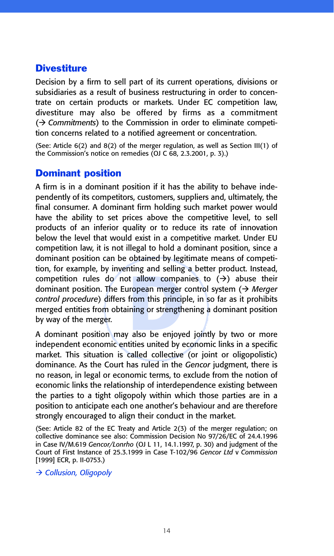## **Divestiture**

Decision by a firm to sell part of its current operations, divisions or subsidiaries as a result of business restructuring in order to concentrate on certain products or markets. Under EC competition law, divestiture may also be offered by firms as a commitment (- *Commitments*) to the Commission in order to eliminate competition concerns related to a notified agreement or concentration.

(See: Article 6(2) and 8(2) of the merger regulation, as well as Section III(1) of the Commission's notice on remedies (OJ C 68, 2.3.2001, p. 3).)

# Dominant position

competition rules do not allow companies to  $(\rightarrow)$  abuse their<br>dominant position. The European merger control system  $(\rightarrow)$  *Merger*<br>control procedure) differs from this principle, in so far as it prohibits<br>merged entities A firm is in a dominant position if it has the ability to behave independently of its competitors, customers, suppliers and, ultimately, the final consumer. A dominant firm holding such market power would have the ability to set prices above the competitive level, to sell products of an inferior quality or to reduce its rate of innovation below the level that would exist in a competitive market. Under EU competition law, it is not illegal to hold a dominant position, since a dominant position can be obtained by legitimate means of competition, for example, by inventing and selling a better product. Instead, competition rules do not allow companies to  $(\rightarrow)$  abuse their dominant position. The European merger control system (> Merger *control procedure*) differs from this principle, in so far as it prohibits merged entities from obtaining or strengthening a dominant position by way of the merger.

independent economic entities united by economic links in a specific market. This situation is called collective (or joint or oligopolistic) dominance. As the Court has ruled in the *Gencor* judgment, there is no reason, in legal or economic terms, to exclude from the notion of economic links the relationship of interdependence existing between the parties to a tight oligopoly within which those parties are in a position to anticipate each one another's behaviour and are therefore strongly encouraged to align their conduct in the market.

(See: Article 82 of the EC Treaty and Article 2(3) of the merger regulation; on collective dominance see also: Commission Decision No 97/26/EC of 24.4.1996 in Case IV/M.619 *Gencor/Lonrho* (OJ L 11, 14.1.1997, p. 30) and judgment of the Court of First Instance of 25.3.1999 in Case T-102/96 *Gencor Ltd* v *Commission* [1999] ECR, p. II-0753.)

- *Collusion, Oligopoly*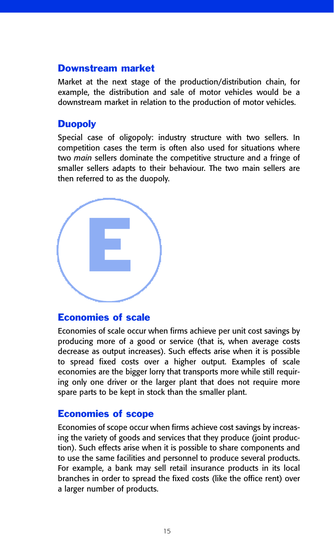#### Downstream market

Market at the next stage of the production/distribution chain, for example, the distribution and sale of motor vehicles would be a downstream market in relation to the production of motor vehicles.

## **Duopoly**

Special case of oligopoly: industry structure with two sellers. In competition cases the term is often also used for situations where two *main* sellers dominate the competitive structure and a fringe of smaller sellers adapts to their behaviour. The two main sellers are then referred to as the duopoly.



#### Economies of scale

Economies of scale occur when firms achieve per unit cost savings by producing more of a good or service (that is, when average costs decrease as output increases). Such effects arise when it is possible to spread fixed costs over a higher output. Examples of scale economies are the bigger lorry that transports more while still requiring only one driver or the larger plant that does not require more spare parts to be kept in stock than the smaller plant.

## Economies of scope

Economies of scope occur when firms achieve cost savings by increasing the variety of goods and services that they produce (joint production). Such effects arise when it is possible to share components and to use the same facilities and personnel to produce several products. For example, a bank may sell retail insurance products in its local branches in order to spread the fixed costs (like the office rent) over a larger number of products.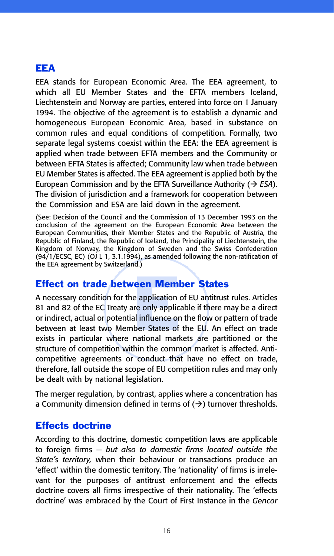# EEA

EEA stands for European Economic Area. The EEA agreement, to which all EU Member States and the EFTA members Iceland, Liechtenstein and Norway are parties, entered into force on 1 January 1994. The objective of the agreement is to establish a dynamic and homogeneous European Economic Area, based in substance on common rules and equal conditions of competition. Formally, two separate legal systems coexist within the EEA: the EEA agreement is applied when trade between EFTA members and the Community or between EFTA States is affected; Community law when trade between EU Member States is affected. The EEA agreement is applied both by the European Commission and by the EFTA Surveillance Authority  $(\rightarrow ESA)$ . The division of jurisdiction and a framework for cooperation between the Commission and ESA are laid down in the agreement.

(See: Decision of the Council and the Commission of 13 December 1993 on the conclusion of the agreement on the European Economic Area between the European Communities, their Member States and the Republic of Austria, the Republic of Finland, the Republic of Iceland, the Principality of Liechtenstein, the Kingdom of Norway, the Kingdom of Sweden and the Swiss Confederation (94/1/ECSC, EC) (OJ L 1, 3.1.1994), as amended following the non-ratification of the EEA agreement by Switzerland.)

# Effect on trade between Member States

**cen Mem**<br>e application<br>re only applic<br>al influence or<br>ber States of<br>national mar A necessary condition for the application of EU antitrust rules. Articles 81 and 82 of the EC Treaty are only applicable if there may be a direct or indirect, actual or potential influence on the flow or pattern of trade between at least two Member States of the EU. An effect on trade exists in particular where national markets are partitioned or the structure of competition within the common market is affected. Anticompetitive agreements or conduct that have no effect on trade, therefore, fall outside the scope of EU competition rules and may only be dealt with by national legislation.

The merger regulation, by contrast, applies where a concentration has a Community dimension defined in terms of  $(\rightarrow)$  turnover thresholds.

## Effects doctrine

According to this doctrine, domestic competition laws are applicable to foreign firms — *but also to domestic firms located outside the State's territory,* when their behaviour or transactions produce an 'effect' within the domestic territory. The 'nationality' of firms is irrelevant for the purposes of antitrust enforcement and the effects doctrine covers all firms irrespective of their nationality. The 'effects doctrine' was embraced by the Court of First Instance in the *Gencor*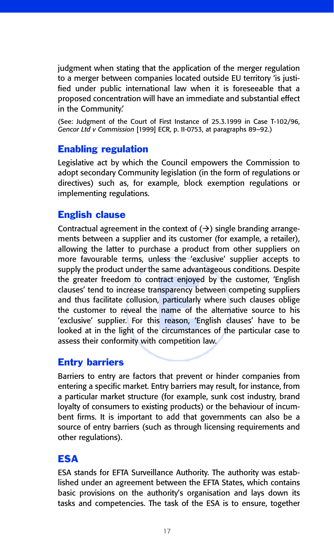judgment when stating that the application of the merger regulation to a merger between companies located outside EU territory 'is justified under public international law when it is foreseeable that a proposed concentration will have an immediate and substantial effect in the Community.'

(See: Judgment of the Court of First Instance of 25.3.1999 in Case T-102/96, *Gencor Ltd v Commission* [1999] ECR, p. II-0753, at paragraphs 89–92.)

## Enabling regulation

Legislative act by which the Council empowers the Commission to adopt secondary Community legislation (in the form of regulations or directives) such as, for example, block exemption regulations or implementing regulations.

# English clause

ntract enjoyed<br>
notal particularly<br>
notal particularly<br>
name of the<br>
is reason, 'Envirtularly<br>
e circumstand Contractual agreement in the context of  $(\rightarrow)$  single branding arrangements between a supplier and its customer (for example, a retailer), allowing the latter to purchase a product from other suppliers on more favourable terms, unless the 'exclusive' supplier accepts to supply the product under the same advantageous conditions. Despite the greater freedom to contract enjoyed by the customer, 'English clauses' tend to increase transparency between competing suppliers and thus facilitate collusion, particularly where such clauses oblige the customer to reveal the name of the alternative source to his 'exclusive' supplier. For this reason, 'English clauses' have to be looked at in the light of the circumstances of the particular case to assess their conformity with competition law.

# Entry barriers

Barriers to entry are factors that prevent or hinder companies from entering a specific market. Entry barriers may result, for instance, from a particular market structure (for example, sunk cost industry, brand loyalty of consumers to existing products) or the behaviour of incumbent firms. It is important to add that governments can also be a source of entry barriers (such as through licensing requirements and other regulations).

# ESA

ESA stands for EFTA Surveillance Authority. The authority was established under an agreement between the EFTA States, which contains basic provisions on the authority's organisation and lays down its tasks and competencies. The task of the ESA is to ensure, together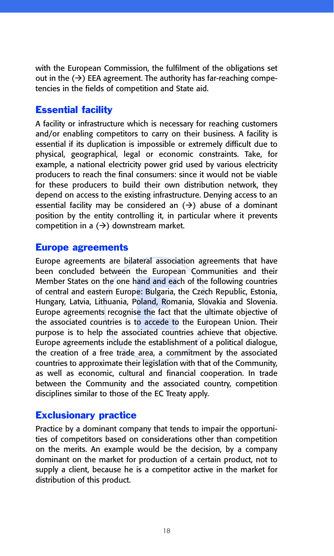with the European Commission, the fulfilment of the obligations set out in the  $(\rightarrow)$  EEA agreement. The authority has far-reaching competencies in the fields of competition and State aid.

# Essential facility

A facility or infrastructure which is necessary for reaching customers and/or enabling competitors to carry on their business. A facility is essential if its duplication is impossible or extremely difficult due to physical, geographical, legal or economic constraints. Take, for example, a national electricity power grid used by various electricity producers to reach the final consumers: since it would not be viable for these producers to build their own distribution network, they depend on access to the existing infrastructure. Denying access to an essential facility may be considered an  $(\rightarrow)$  abuse of a dominant position by the entity controlling it, in particular where it prevents competition in a  $(\rightarrow)$  downstream market.

#### Europe agreements

the Luropec<br>hand and eac<br>pe: Bulgaria, t<br>Poland, Roma<br>se the fact th<br>to accede to<br>ociated count Europe agreements are bilateral association agreements that have been concluded between the European Communities and their Member States on the one hand and each of the following countries of central and eastern Europe: Bulgaria, the Czech Republic, Estonia, Hungary, Latvia, Lithuania, Poland, Romania, Slovakia and Slovenia. Europe agreements recognise the fact that the ultimate objective of the associated countries is to accede to the European Union. Their purpose is to help the associated countries achieve that objective. Europe agreements include the establishment of a political dialogue, the creation of a free trade area, a commitment by the associated countries to approximate their legislation with that of the Community, as well as economic, cultural and financial cooperation. In trade between the Community and the associated country, competition disciplines similar to those of the EC Treaty apply.

#### Exclusionary practice

Practice by a dominant company that tends to impair the opportunities of competitors based on considerations other than competition on the merits. An example would be the decision, by a company dominant on the market for production of a certain product, not to supply a client, because he is a competitor active in the market for distribution of this product.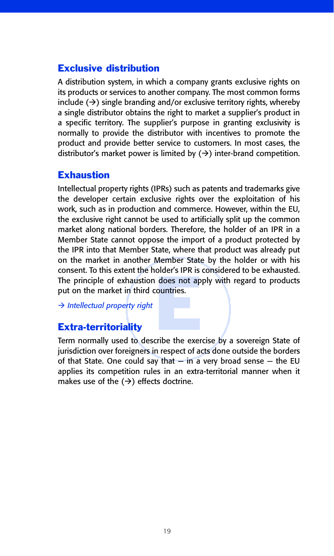# Exclusive distribution

A distribution system, in which a company grants exclusive rights on its products or services to another company. The most common forms include  $(\rightarrow)$  single branding and/or exclusive territory rights, whereby a single distributor obtains the right to market a supplier's product in a specific territory. The supplier's purpose in granting exclusivity is normally to provide the distributor with incentives to promote the product and provide better service to customers. In most cases, the distributor's market power is limited by  $(\rightarrow)$  inter-brand competition.

## **Exhaustion**

The principle of exhaustion does not apply with regard to products<br>put on the market in third countries.<br> $\rightarrow$  Intellectual property right<br>Extra-territoriality<br>Term normally used to describe the exercise by a sovereign Sta Intellectual property rights (IPRs) such as patents and trademarks give the developer certain exclusive rights over the exploitation of his work, such as in production and commerce. However, within the EU, the exclusive right cannot be used to artificially split up the common market along national borders. Therefore, the holder of an IPR in a Member State cannot oppose the import of a product protected by the IPR into that Member State, where that product was already put on the market in another Member State by the holder or with his consent. To this extent the holder's IPR is considered to be exhausted. put on the market in third countries.

- *Intellectual property right*

## Extra-territoriality

Term normally used to describe the exercise by a sovereign State of jurisdiction over foreigners in respect of acts done outside the borders of that State. One could say that  $-$  in a very broad sense  $-$  the EU applies its competition rules in an extra-territorial manner when it makes use of the  $(\rightarrow)$  effects doctrine.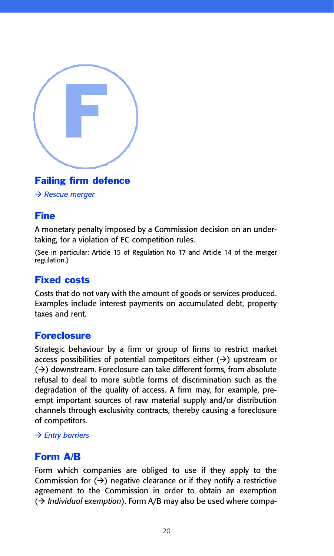

# Failing firm defence

- *Rescue merger*

## Fine

A monetary penalty imposed by a Commission decision on an undertaking, for a violation of EC competition rules.

(See in particular: Article 15 of Regulation No 17 and Article 14 of the merger regulation.)

# Fixed costs

Costs that do not vary with the amount of goods or services produced. Examples include interest payments on accumulated debt, property taxes and rent.

## **Foreclosure**

Strategic behaviour by a firm or group of firms to restrict market access possibilities of potential competitors either  $( \rightarrow )$  upstream or  $(\rightarrow)$  downstream. Foreclosure can take different forms, from absolute refusal to deal to more subtle forms of discrimination such as the degradation of the quality of access. A firm may, for example, preempt important sources of raw material supply and/or distribution channels through exclusivity contracts, thereby causing a foreclosure of competitors.

#### - *Entry barriers*

# Form A/B

Form which companies are obliged to use if they apply to the Commission for  $(\rightarrow)$  negative clearance or if they notify a restrictive agreement to the Commission in order to obtain an exemption (→ *Individual exemption*). Form A/B may also be used where compa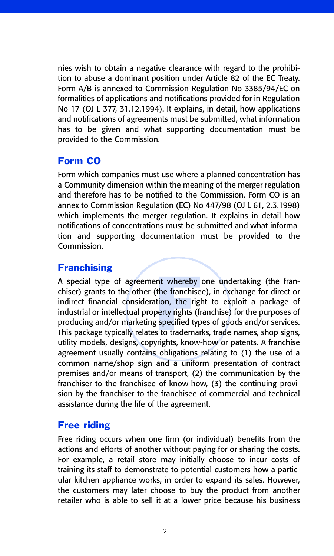nies wish to obtain a negative clearance with regard to the prohibition to abuse a dominant position under Article 82 of the EC Treaty. Form A/B is annexed to Commission Regulation No 3385/94/EC on formalities of applications and notifications provided for in Regulation No 17 (OJ L 377, 31.12.1994). It explains, in detail, how applications and notifications of agreements must be submitted, what information has to be given and what supporting documentation must be provided to the Commission.

# Form CO

Form which companies must use where a planned concentration has a Community dimension within the meaning of the merger regulation and therefore has to be notified to the Commission. Form CO is an annex to Commission Regulation (EC) No 447/98 (OJ L 61, 2.3.1998) which implements the merger regulation. It explains in detail how notifications of concentrations must be submitted and what information and supporting documentation must be provided to the Commission.

# **Franchising**

A special type of agreement whereby one undertaking (the franchiser) grants to the other (the franchisee), in exchange for direct or indirect financial consideration, the right to exploit a package of industrial or intelle A special type of agreement whereby one undertaking (the franchiser) grants to the other (the franchisee), in exchange for direct or indirect financial consideration, the right to exploit a package of industrial or intellectual property rights (franchise) for the purposes of producing and/or marketing specified types of goods and/or services. utility models, designs, copyrights, know-how or patents. A franchise agreement usually contains obligations relating to (1) the use of a common name/shop sign and a uniform presentation of contract premises and/or means of transport, (2) the communication by the franchiser to the franchisee of know-how, (3) the continuing provision by the franchiser to the franchisee of commercial and technical assistance during the life of the agreement.

# Free riding

Free riding occurs when one firm (or individual) benefits from the actions and efforts of another without paying for or sharing the costs. For example, a retail store may initially choose to incur costs of training its staff to demonstrate to potential customers how a particular kitchen appliance works, in order to expand its sales. However, the customers may later choose to buy the product from another retailer who is able to sell it at a lower price because his business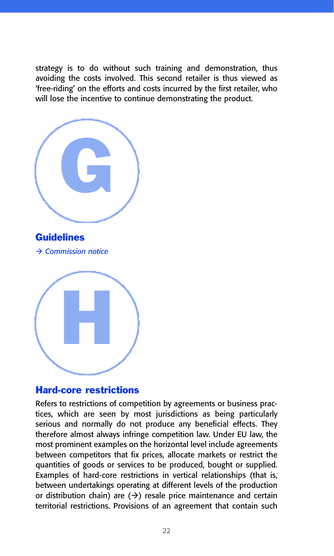strategy is to do without such training and demonstration, thus avoiding the costs involved. This second retailer is thus viewed as 'free-riding' on the efforts and costs incurred by the first retailer, who will lose the incentive to continue demonstrating the product.



#### Hard-core restrictions

Refers to restrictions of competition by agreements or business practices, which are seen by most jurisdictions as being particularly serious and normally do not produce any beneficial effects. They therefore almost always infringe competition law. Under EU law, the most prominent examples on the horizontal level include agreements between competitors that fix prices, allocate markets or restrict the quantities of goods or services to be produced, bought or supplied. Examples of hard-core restrictions in vertical relationships (that is, between undertakings operating at different levels of the production or distribution chain) are  $(\rightarrow)$  resale price maintenance and certain territorial restrictions. Provisions of an agreement that contain such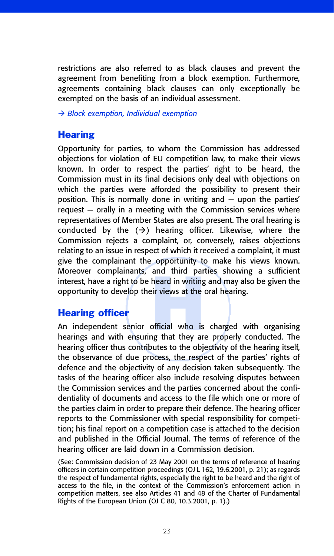restrictions are also referred to as black clauses and prevent the agreement from benefiting from a block exemption. Furthermore, agreements containing black clauses can only exceptionally be exempted on the basis of an individual assessment.

- *Block exemption, Individual exemption*

# **Hearing**

and thin pand<br>heard in writing<br>ir views at the<br>official who is<br>ng that they are Opportunity for parties, to whom the Commission has addressed objections for violation of EU competition law, to make their views known. In order to respect the parties' right to be heard, the Commission must in its final decisions only deal with objections on which the parties were afforded the possibility to present their position. This is normally done in writing and — upon the parties' request — orally in a meeting with the Commission services where representatives of Member States are also present. The oral hearing is conducted by the  $(\rightarrow)$  hearing officer. Likewise, where the Commission rejects a complaint, or, conversely, raises objections relating to an issue in respect of which it received a complaint, it must give the complainant the opportunity to make his views known. Moreover complainants, and third parties showing a sufficient interest, have a right to be heard in writing and may also be given the opportunity to develop their views at the oral hearing.

# Hearing officer

An independent senior official who is charged with organising hearings and with ensuring that they are properly conducted. The hearing officer thus contributes to the objectivity of the hearing itself, the observance of due process, the respect of the parties' rights of defence and the objectivity of any decision taken subsequently. The tasks of the hearing officer also include resolving disputes between the Commission services and the parties concerned about the confidentiality of documents and access to the file which one or more of the parties claim in order to prepare their defence. The hearing officer reports to the Commissioner with special responsibility for competition; his final report on a competition case is attached to the decision and published in the Official Journal. The terms of reference of the hearing officer are laid down in a Commission decision.

(See: Commission decision of 23 May 2001 on the terms of reference of hearing officers in certain competition proceedings (OJ L 162, 19.6.2001, p. 21); as regards the respect of fundamental rights, especially the right to be heard and the right of access to the file, in the context of the Commission's enforcement action in competition matters, see also Articles 41 and 48 of the Charter of Fundamental Rights of the European Union (OJ C 80, 10.3.2001, p. 1).)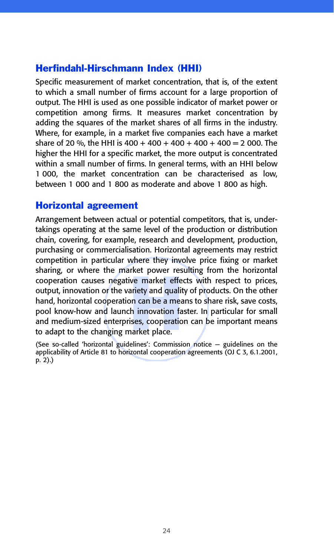# Herfindahl-Hirschmann Index (HHI)

Specific measurement of market concentration, that is, of the extent to which a small number of firms account for a large proportion of output. The HHI is used as one possible indicator of market power or competition among firms. It measures market concentration by adding the squares of the market shares of all firms in the industry. Where, for example, in a market five companies each have a market share of 20 %, the HHI is  $400 + 400 + 400 + 400 + 400 = 2000$ . The higher the HHI for a specific market, the more output is concentrated within a small number of firms. In general terms, with an HHI below 1 000, the market concentration can be characterised as low, between 1 000 and 1 800 as moderate and above 1 800 as high.

#### Horizontal agreement

Enamig, or where the manket power resulting from the nonlemant<br>cooperation causes negative market effects with respect to prices,<br>output, innovation or the variety and quality of products. On the other<br>hand, horizontal coo Arrangement between actual or potential competitors, that is, undertakings operating at the same level of the production or distribution chain, covering, for example, research and development, production, purchasing or commercialisation. Horizontal agreements may restrict competition in particular where they involve price fixing or market sharing, or where the market power resulting from the horizontal output, innovation or the variety and quality of products. On the other hand, horizontal cooperation can be a means to share risk, save costs, pool know-how and launch innovation faster. In particular for small and medium-sized enterprises, cooperation can be important means to adapt to the changing market place.

(See so-called 'horizontal guidelines': Commission notice — guidelines on the applicability of Article 81 to horizontal cooperation agreements (OJ C 3, 6.1.2001,  $p. 2)$ .)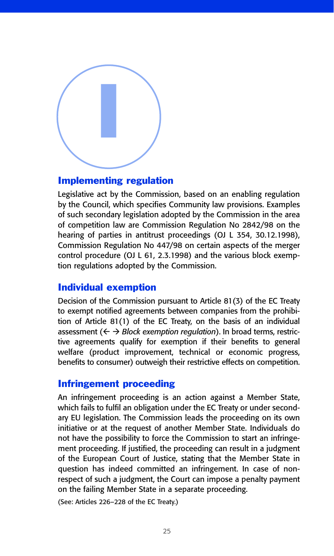

#### Implementing regulation

Legislative act by the Commission, based on an enabling regulation by the Council, which specifies Community law provisions. Examples of such secondary legislation adopted by the Commission in the area of competition law are Commission Regulation No 2842/98 on the hearing of parties in antitrust proceedings (OJ L 354, 30.12.1998), Commission Regulation No 447/98 on certain aspects of the merger control procedure (OJ L 61, 2.3.1998) and the various block exemption regulations adopted by the Commission.

#### Individual exemption

Decision of the Commission pursuant to Article 81(3) of the EC Treaty to exempt notified agreements between companies from the prohibition of Article 81(1) of the EC Treaty, on the basis of an individual assessment ( $\leftarrow$  > *Block exemption regulation*). In broad terms, restrictive agreements qualify for exemption if their benefits to general welfare (product improvement, technical or economic progress, benefits to consumer) outweigh their restrictive effects on competition.

## Infringement proceeding

An infringement proceeding is an action against a Member State, which fails to fulfil an obligation under the EC Treaty or under secondary EU legislation. The Commission leads the proceeding on its own initiative or at the request of another Member State. Individuals do not have the possibility to force the Commission to start an infringement proceeding. If justified, the proceeding can result in a judgment of the European Court of Justice, stating that the Member State in question has indeed committed an infringement. In case of nonrespect of such a judgment, the Court can impose a penalty payment on the failing Member State in a separate proceeding.

(See: Articles 226–228 of the EC Treaty.)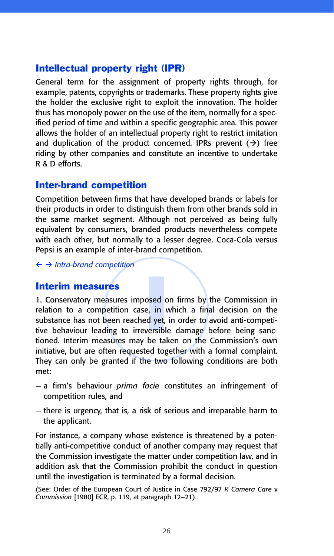# Intellectual property right (IPR)

General term for the assignment of property rights through, for example, patents, copyrights or trademarks. These property rights give the holder the exclusive right to exploit the innovation. The holder thus has monopoly power on the use of the item, normally for a specified period of time and within a specific geographic area. This power allows the holder of an intellectual property right to restrict imitation and duplication of the product concerned. IPRs prevent  $(\rightarrow)$  free riding by other companies and constitute an incentive to undertake R & D efforts.

## Inter-brand competition

Competition between firms that have developed brands or labels for their products in order to distinguish them from other brands sold in the same market segment. Although not perceived as being fully equivalent by consumers, branded products nevertheless compete with each other, but normally to a lesser degree. Coca-Cola versus Pepsi is an example of inter-brand competition.

- *Intra-brand competition*

#### Interim measures

bosed of<br>ise, in wed yet, in<br>ed yet, in<br>eversible<br>the take 1. Conservatory measures imposed on firms by the Commission in relation to a competition case, in which a final decision on the substance has not been reached yet, in order to avoid anti-competitive behaviour leading to irreversible damage before being sanctioned. Interim measures may be taken on the Commission's own initiative, but are often requested together with a formal complaint. They can only be granted if the two following conditions are both met:

- a firm's behaviour *prima facie* constitutes an infringement of competition rules, and
- there is urgency, that is, a risk of serious and irreparable harm to the applicant.

For instance, a company whose existence is threatened by a potentially anti-competitive conduct of another company may request that the Commission investigate the matter under competition law, and in addition ask that the Commission prohibit the conduct in question until the investigation is terminated by a formal decision.

(See: Order of the European Court of Justice in Case 792/97 *R Camera Care* v *Commission* [1980] ECR, p. 119, at paragraph 12–21).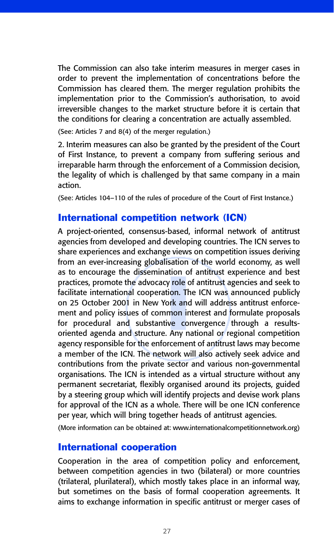The Commission can also take interim measures in merger cases in order to prevent the implementation of concentrations before the Commission has cleared them. The merger regulation prohibits the implementation prior to the Commission's authorisation, to avoid irreversible changes to the market structure before it is certain that the conditions for clearing a concentration are actually assembled.

(See: Articles 7 and 8(4) of the merger regulation.)

2. Interim measures can also be granted by the president of the Court of First Instance, to prevent a company from suffering serious and irreparable harm through the enforcement of a Commission decision, the legality of which is challenged by that same company in a main action.

(See: Articles 104–110 of the rules of procedure of the Court of First Instance.)

#### International competition network (ICN)

ation of<br>tion. The<br>fork and<br>invector in the correction<br>is a second of the correction A project-oriented, consensus-based, informal network of antitrust agencies from developed and developing countries. The ICN serves to share experiences and exchange views on competition issues deriving from an ever-increasing globalisation of the world economy, as well as to encourage the dissemination of antitrust experience and best practices, promote the advocacy role of antitrust agencies and seek to facilitate international cooperation. The ICN was announced publicly on 25 October 2001 in New York and will address antitrust enforcement and policy issues of common interest and formulate proposals for procedural and substantive convergence through a resultsoriented agenda and structure. Any national or regional competition agency responsible for the enforcement of antitrust laws may become a member of the ICN. The network will also actively seek advice and contributions from the private sector and various non-governmental organisations. The ICN is intended as a virtual structure without any permanent secretariat, flexibly organised around its projects, guided by a steering group which will identify projects and devise work plans for approval of the ICN as a whole. There will be one ICN conference per year, which will bring together heads of antitrust agencies.

(More information can be obtained at: www.internationalcompetitionnetwork.org)

#### International cooperation

Cooperation in the area of competition policy and enforcement, between competition agencies in two (bilateral) or more countries (trilateral, plurilateral), which mostly takes place in an informal way, but sometimes on the basis of formal cooperation agreements. It aims to exchange information in specific antitrust or merger cases of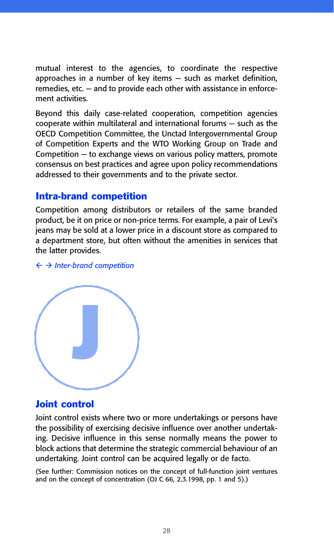mutual interest to the agencies, to coordinate the respective approaches in a number of key items — such as market definition, remedies, etc. — and to provide each other with assistance in enforcement activities.

Beyond this daily case-related cooperation, competition agencies cooperate within multilateral and international forums — such as the OECD Competition Committee, the Unctad Intergovernmental Group of Competition Experts and the WTO Working Group on Trade and Competition — to exchange views on various policy matters, promote consensus on best practices and agree upon policy recommendations addressed to their governments and to the private sector.

## Intra-brand competition

Competition among distributors or retailers of the same branded product, be it on price or non-price terms. For example, a pair of Levi's jeans may be sold at a lower price in a discount store as compared to a department store, but often without the amenities in services that the latter provides.

- *Inter-brand competition*



#### Joint control

Joint control exists where two or more undertakings or persons have the possibility of exercising decisive influence over another undertaking. Decisive influence in this sense normally means the power to block actions that determine the strategic commercial behaviour of an undertaking. Joint control can be acquired legally or de facto.

(See further: Commission notices on the concept of full-function joint ventures and on the concept of concentration (OJ C 66, 2.3.1998, pp. 1 and 5).)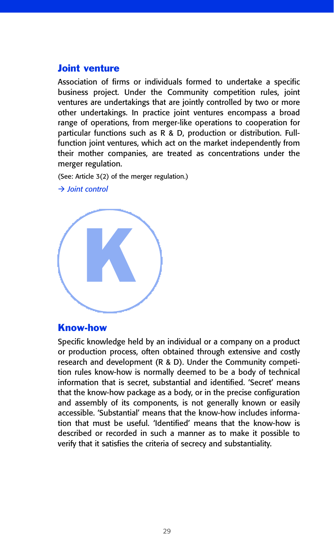#### Joint venture

Association of firms or individuals formed to undertake a specific business project. Under the Community competition rules, joint ventures are undertakings that are jointly controlled by two or more other undertakings. In practice joint ventures encompass a broad range of operations, from merger-like operations to cooperation for particular functions such as R & D, production or distribution. Fullfunction joint ventures, which act on the market independently from their mother companies, are treated as concentrations under the merger regulation.

(See: Article 3(2) of the merger regulation.)



- *Joint control*

#### Know-how

Specific knowledge held by an individual or a company on a product or production process, often obtained through extensive and costly research and development (R & D). Under the Community competition rules know-how is normally deemed to be a body of technical information that is secret, substantial and identified. 'Secret' means that the know-how package as a body, or in the precise configuration and assembly of its components, is not generally known or easily accessible. 'Substantial' means that the know-how includes information that must be useful. 'Identified' means that the know-how is described or recorded in such a manner as to make it possible to verify that it satisfies the criteria of secrecy and substantiality.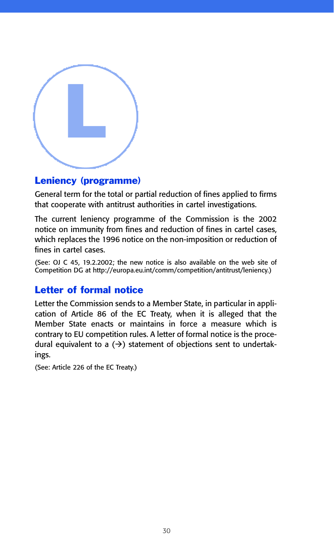

## Leniency (programme)

General term for the total or partial reduction of fines applied to firms that cooperate with antitrust authorities in cartel investigations.

The current leniency programme of the Commission is the 2002 notice on immunity from fines and reduction of fines in cartel cases, which replaces the 1996 notice on the non-imposition or reduction of fines in cartel cases.

(See: OJ C 45, 19.2.2002; the new notice is also available on the web site of Competition DG at http://europa.eu.int/comm/competition/antitrust/leniency.)

# Letter of formal notice

Letter the Commission sends to a Member State, in particular in application of Article 86 of the EC Treaty, when it is alleged that the Member State enacts or maintains in force a measure which is contrary to EU competition rules. A letter of formal notice is the procedural equivalent to a  $(\rightarrow)$  statement of objections sent to undertakings.

(See: Article 226 of the EC Treaty.)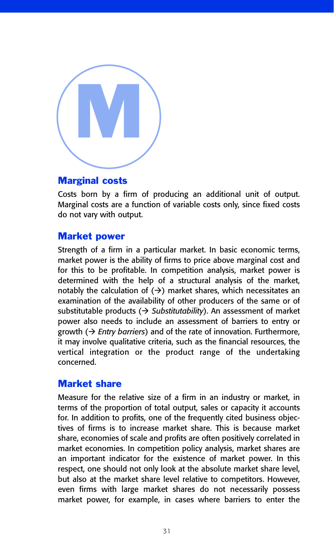

#### Marginal costs

Costs born by a firm of producing an additional unit of output. Marginal costs are a function of variable costs only, since fixed costs do not vary with output.

#### Market power

Strength of a firm in a particular market. In basic economic terms, market power is the ability of firms to price above marginal cost and for this to be profitable. In competition analysis, market power is determined with the help of a structural analysis of the market, notably the calculation of  $(\rightarrow)$  market shares, which necessitates an examination of the availability of other producers of the same or of substitutable products ( $\rightarrow$  Substitutability). An assessment of market power also needs to include an assessment of barriers to entry or growth ( $\rightarrow$  *Entry barriers*) and of the rate of innovation. Furthermore, it may involve qualitative criteria, such as the financial resources, the vertical integration or the product range of the undertaking concerned.

## Market share

Measure for the relative size of a firm in an industry or market, in terms of the proportion of total output, sales or capacity it accounts for. In addition to profits, one of the frequently cited business objectives of firms is to increase market share. This is because market share, economies of scale and profits are often positively correlated in market economies. In competition policy analysis, market shares are an important indicator for the existence of market power. In this respect, one should not only look at the absolute market share level, but also at the market share level relative to competitors. However, even firms with large market shares do not necessarily possess market power, for example, in cases where barriers to enter the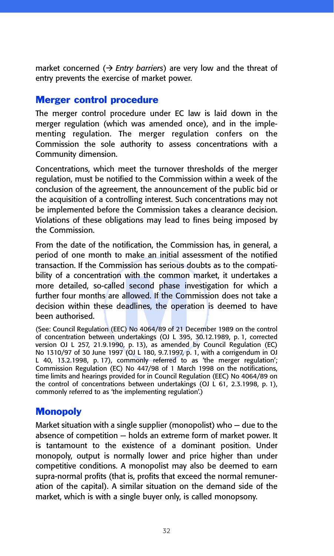market concerned ( $\rightarrow$  *Entry barriers*) are very low and the threat of entry prevents the exercise of market power.

## Merger control procedure

The merger control procedure under EC law is laid down in the merger regulation (which was amended once), and in the implementing regulation. The merger regulation confers on the Commission the sole authority to assess concentrations with a Community dimension.

Concentrations, which meet the turnover thresholds of the merger regulation, must be notified to the Commission within a week of the conclusion of the agreement, the announcement of the public bid or the acquisition of a controlling interest. Such concentrations may not be implemented before the Commission takes a clearance decision. Violations of these obligations may lead to fines being imposed by the Commission.

bility of a concentration with the common market, it undertakes a<br>more detailed, so-called second phase investigation for which a<br>further four months are allowed. If the Commission does not take a<br>decision within these dea From the date of the notification, the Commission has, in general, a period of one month to make an initial assessment of the notified transaction. If the Commission has serious doubts as to the compatibility of a concentration with the common market, it undertakes a more detailed, so-called second phase investigation for which a further four months are allowed. If the Commission does not take a decision within these deadlines, the operation is deemed to have been authorised.

(See: Council Regulation (EEC) No 4064/89 of 21 December 1989 on the control version OJ L 257, 21.9.1990, p. 13), as amended by Council Regulation (EC) No 1310/97 of 30 June 1997 (OJ L 180, 9.7.1997, p. 1, with a corrigendum in OJ L 40, 13.2.1998, p. 17), commonly referred to as 'the merger regulation'; Commission Regulation (EC) No 447/98 of 1 March 1998 on the notifications, time limits and hearings provided for in Council Regulation (EEC) No 4064/89 on the control of concentrations between undertakings (OJ L 61, 2.3.1998, p. 1), commonly referred to as 'the implementing regulation'.)

# **Monopoly**

Market situation with a single supplier (monopolist) who — due to the absence of competition — holds an extreme form of market power. It is tantamount to the existence of a dominant position. Under monopoly, output is normally lower and price higher than under competitive conditions. A monopolist may also be deemed to earn supra-normal profits (that is, profits that exceed the normal remuneration of the capital). A similar situation on the demand side of the market, which is with a single buyer only, is called monopsony.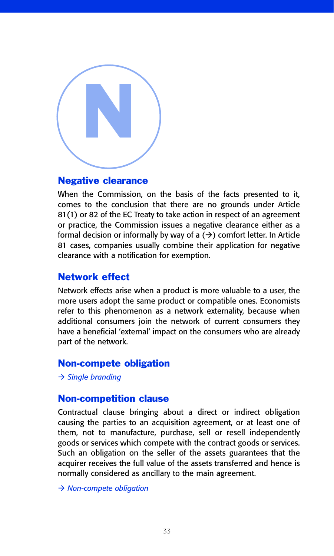

#### Negative clearance

When the Commission, on the basis of the facts presented to it, comes to the conclusion that there are no grounds under Article 81(1) or 82 of the EC Treaty to take action in respect of an agreement or practice, the Commission issues a negative clearance either as a formal decision or informally by way of a  $(\rightarrow)$  comfort letter. In Article 81 cases, companies usually combine their application for negative clearance with a notification for exemption.

#### Network effect

Network effects arise when a product is more valuable to a user, the more users adopt the same product or compatible ones. Economists refer to this phenomenon as a network externality, because when additional consumers join the network of current consumers they have a beneficial 'external' impact on the consumers who are already part of the network.

#### Non-compete obligation

- *Single branding*

#### Non-competition clause

Contractual clause bringing about a direct or indirect obligation causing the parties to an acquisition agreement, or at least one of them, not to manufacture, purchase, sell or resell independently goods or services which compete with the contract goods or services. Such an obligation on the seller of the assets guarantees that the acquirer receives the full value of the assets transferred and hence is normally considered as ancillary to the main agreement.

- *Non-compete obligation*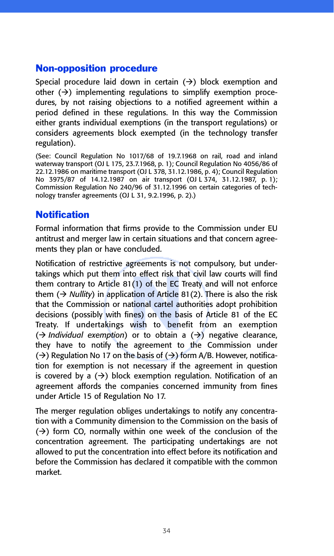## Non-opposition procedure

Special procedure laid down in certain  $(\rightarrow)$  block exemption and other  $(\rightarrow)$  implementing regulations to simplify exemption procedures, by not raising objections to a notified agreement within a period defined in these regulations. In this way the Commission either grants individual exemptions (in the transport regulations) or considers agreements block exempted (in the technology transfer regulation).

(See: Council Regulation No 1017/68 of 19.7.1968 on rail, road and inland waterway transport (OJ L 175, 23.7.1968, p. 1); Council Regulation No 4056/86 of 22.12.1986 on maritime transport (OJ L 378, 31.12.1986, p. 4); Council Regulation No 3975/87 of 14.12.1987 on air transport (OJ L 374, 31.12.1987, p. 1); Commission Regulation No 240/96 of 31.12.1996 on certain categories of technology transfer agreements (OJ L 31, 9.2.1996, p. 2).)

# **Notification**

Formal information that firms provide to the Commission under EU antitrust and merger law in certain situations and that concern agreements they plan or have concluded.

to effect risk the  $I(1)$  of the EC 1<br>ation of Article 8<br>ational cartel au<br>mes) on the ba<br>wish to bene<br>or to obtain  $\frac{1}{2}$ Notification of restrictive agreements is not compulsory, but undertakings which put them into effect risk that civil law courts will find them contrary to Article 81(1) of the EC Treaty and will not enforce them  $(\rightarrow$  *Nullity*) in application of Article 81(2). There is also the risk that the Commission or national cartel authorities adopt prohibition decisions (possibly with fines) on the basis of Article 81 of the EC Treaty. If undertakings wish to benefit from an exemption  $(\rightarrow$  *Individual exemption*) or to obtain a  $(\rightarrow)$  negative clearance, they have to notify the agreement to the Commission under  $(\rightarrow)$  Regulation No 17 on the basis of  $(\rightarrow)$  form A/B. However, notification for exemption is not necessary if the agreement in question is covered by a  $(\rightarrow)$  block exemption regulation. Notification of an agreement affords the companies concerned immunity from fines under Article 15 of Regulation No 17.

The merger regulation obliges undertakings to notify any concentration with a Community dimension to the Commission on the basis of  $(\rightarrow)$  form CO, normally within one week of the conclusion of the concentration agreement. The participating undertakings are not allowed to put the concentration into effect before its notification and before the Commission has declared it compatible with the common market.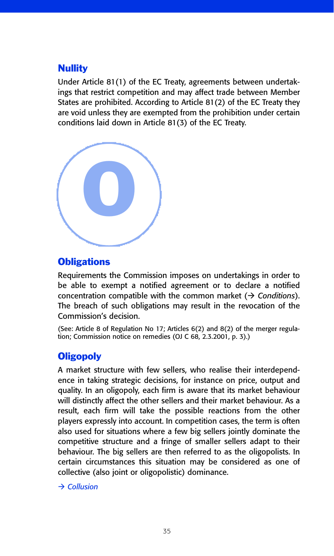## **Nullity**

Under Article 81(1) of the EC Treaty, agreements between undertakings that restrict competition and may affect trade between Member States are prohibited. According to Article 81(2) of the EC Treaty they are void unless they are exempted from the prohibition under certain conditions laid down in Article 81(3) of the EC Treaty.



## **Obligations**

Requirements the Commission imposes on undertakings in order to be able to exempt a notified agreement or to declare a notified concentration compatible with the common market  $(\rightarrow$  Conditions). The breach of such obligations may result in the revocation of the Commission's decision.

(See: Article 8 of Regulation No 17; Articles 6(2) and 8(2) of the merger regulation; Commission notice on remedies (OJ C 68, 2.3.2001, p. 3).)

# **Oligopoly**

A market structure with few sellers, who realise their interdependence in taking strategic decisions, for instance on price, output and quality. In an oligopoly, each firm is aware that its market behaviour will distinctly affect the other sellers and their market behaviour. As a result, each firm will take the possible reactions from the other players expressly into account. In competition cases, the term is often also used for situations where a few big sellers jointly dominate the competitive structure and a fringe of smaller sellers adapt to their behaviour. The big sellers are then referred to as the oligopolists. In certain circumstances this situation may be considered as one of collective (also joint or oligopolistic) dominance.

- *Collusion*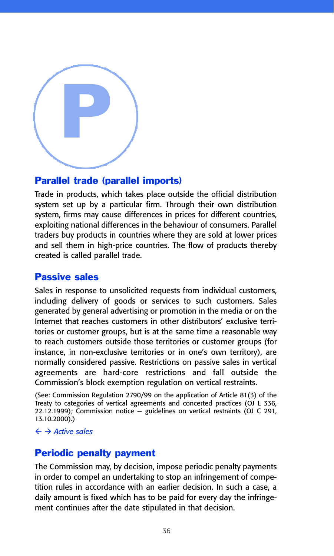

#### Parallel trade (parallel imports)

Trade in products, which takes place outside the official distribution system set up by a particular firm. Through their own distribution system, firms may cause differences in prices for different countries, exploiting national differences in the behaviour of consumers. Parallel traders buy products in countries where they are sold at lower prices and sell them in high-price countries. The flow of products thereby created is called parallel trade.

#### Passive sales

Sales in response to unsolicited requests from individual customers, including delivery of goods or services to such customers. Sales generated by general advertising or promotion in the media or on the Internet that reaches customers in other distributors' exclusive territories or customer groups, but is at the same time a reasonable way to reach customers outside those territories or customer groups (for instance, in non-exclusive territories or in one's own territory), are normally considered passive. Restrictions on passive sales in vertical agreements are hard-core restrictions and fall outside the Commission's block exemption regulation on vertical restraints.

(See: Commission Regulation 2790/99 on the application of Article 81(3) of the Treaty to categories of vertical agreements and concerted practices (OJ L 336, 22.12.1999); Commission notice — guidelines on vertical restraints (OJ C 291, 13.10.2000).)

- *Active sales*

#### Periodic penalty payment

The Commission may, by decision, impose periodic penalty payments in order to compel an undertaking to stop an infringement of competition rules in accordance with an earlier decision. In such a case, a daily amount is fixed which has to be paid for every day the infringement continues after the date stipulated in that decision.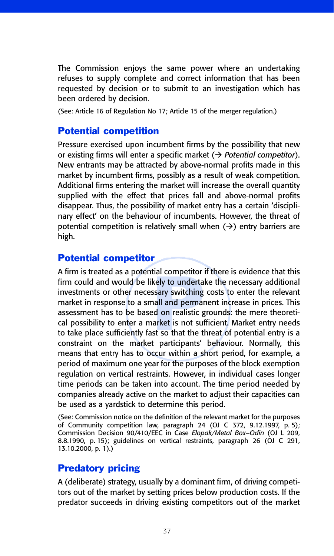The Commission enjoys the same power where an undertaking refuses to supply complete and correct information that has been requested by decision or to submit to an investigation which has been ordered by decision.

(See: Article 16 of Regulation No 17; Article 15 of the merger regulation.)

#### Potential competition

Pressure exercised upon incumbent firms by the possibility that new or existing firms will enter a specific market (> Potential competitor). New entrants may be attracted by above-normal profits made in this market by incumbent firms, possibly as a result of weak competition. Additional firms entering the market will increase the overall quantity supplied with the effect that prices fall and above-normal profits disappear. Thus, the possibility of market entry has a certain 'disciplinary effect' on the behaviour of incumbents. However, the threat of potential competition is relatively small when  $(\rightarrow)$  entry barriers are high.

# Potential competitor

an compenion<br>
sary switching<br>
sary switching<br>
all and perma<br>
d on realistic<br>
arket is not su<br>
st so that the t A firm is treated as a potential competitor if there is evidence that this firm could and would be likely to undertake the necessary additional investments or other necessary switching costs to enter the relevant market in response to a small and permanent increase in prices. This assessment has to be based on realistic grounds: the mere theoretical possibility to enter a market is not sufficient. Market entry needs to take place sufficiently fast so that the threat of potential entry is a constraint on the market participants' behaviour. Normally, this means that entry has to occur within a short period, for example, a period of maximum one year for the purposes of the block exemption regulation on vertical restraints. However, in individual cases longer time periods can be taken into account. The time period needed by companies already active on the market to adjust their capacities can be used as a yardstick to determine this period.

(See: Commission notice on the definition of the relevant market for the purposes of Community competition law, paragraph 24 (OJ C 372, 9.12.1997, p. 5); Commission Decision 90/410/EEC in Case *Elopak/Metal Box–Odin* (OJ L 209, 8.8.1990, p. 15); guidelines on vertical restraints, paragraph 26 (OJ C 291, 13.10.2000, p. 1).)

## Predatory pricing

A (deliberate) strategy, usually by a dominant firm, of driving competitors out of the market by setting prices below production costs. If the predator succeeds in driving existing competitors out of the market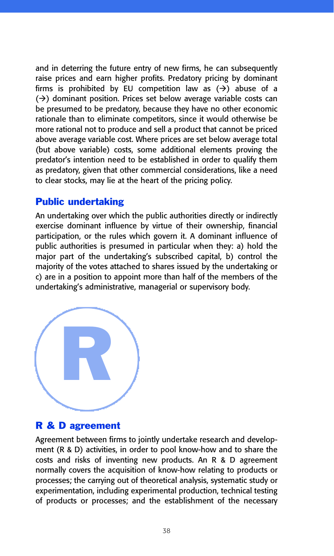and in deterring the future entry of new firms, he can subsequently raise prices and earn higher profits. Predatory pricing by dominant firms is prohibited by EU competition law as  $(\rightarrow)$  abuse of a  $(\rightarrow)$  dominant position. Prices set below average variable costs can be presumed to be predatory, because they have no other economic rationale than to eliminate competitors, since it would otherwise be more rational not to produce and sell a product that cannot be priced above average variable cost. Where prices are set below average total (but above variable) costs, some additional elements proving the predator's intention need to be established in order to qualify them as predatory, given that other commercial considerations, like a need to clear stocks, may lie at the heart of the pricing policy.

#### Public undertaking

An undertaking over which the public authorities directly or indirectly exercise dominant influence by virtue of their ownership, financial participation, or the rules which govern it. A dominant influence of public authorities is presumed in particular when they: a) hold the major part of the undertaking's subscribed capital, b) control the majority of the votes attached to shares issued by the undertaking or c) are in a position to appoint more than half of the members of the undertaking's administrative, managerial or supervisory body.



## R & D agreement

Agreement between firms to jointly undertake research and development (R & D) activities, in order to pool know-how and to share the costs and risks of inventing new products. An R & D agreement normally covers the acquisition of know-how relating to products or processes; the carrying out of theoretical analysis, systematic study or experimentation, including experimental production, technical testing of products or processes; and the establishment of the necessary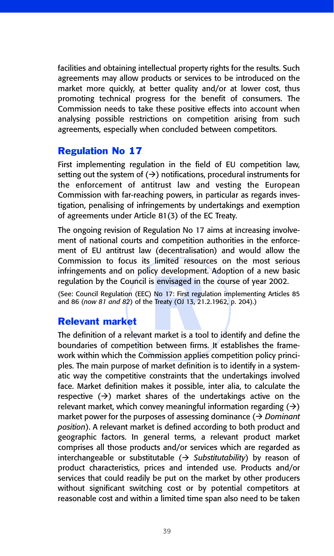facilities and obtaining intellectual property rights for the results. Such agreements may allow products or services to be introduced on the market more quickly, at better quality and/or at lower cost, thus promoting technical progress for the benefit of consumers. The Commission needs to take these positive effects into account when analysing possible restrictions on competition arising from such agreements, especially when concluded between competitors.

## Regulation No 17

First implementing regulation in the field of EU competition law, setting out the system of  $(\rightarrow)$  notifications, procedural instruments for the enforcement of antitrust law and vesting the European Commission with far-reaching powers, in particular as regards investigation, penalising of infringements by undertakings and exemption of agreements under Article 81(3) of the EC Treaty.

The ongoing revision of Regulation No 17 aims at increasing involvement of national courts and competition authorities in the enforcement of EU antitrust law (decentralisation) and would allow the Commission to focus its limited resources on the most serious infringements and on policy development. Adoption of a new basic regulation by the Council is envisaged in the course of year 2002.

s envisaged in t<br>
No 17: First regularity<br>
Persian (OJ 13, 21.<br>
Persian translation of the state of the state of the state of the state of the state of the state of the state of the state of the state of the state of the s (See: Council Regulation (EEC) No 17: First regulation implementing Articles 85 and 86 (*now 81 and 82*) of the Treaty (OJ 13, 21.2.1962, p. 204).)

## Relevant market

The definition of a relevant market is a tool to identify and define the boundaries of competition between firms. It establishes the framework within which the Commission applies competition policy principles. The main purpose of market definition is to identify in a systematic way the competitive constraints that the undertakings involved face. Market definition makes it possible, inter alia, to calculate the respective  $(\rightarrow)$  market shares of the undertakings active on the relevant market, which convey meaningful information regarding  $(\rightarrow)$ market power for the purposes of assessing dominance (> Dominant *position*). A relevant market is defined according to both product and geographic factors. In general terms, a relevant product market comprises all those products and/or services which are regarded as interchangeable or substitutable (> Substitutability) by reason of product characteristics, prices and intended use. Products and/or services that could readily be put on the market by other producers without significant switching cost or by potential competitors at reasonable cost and within a limited time span also need to be taken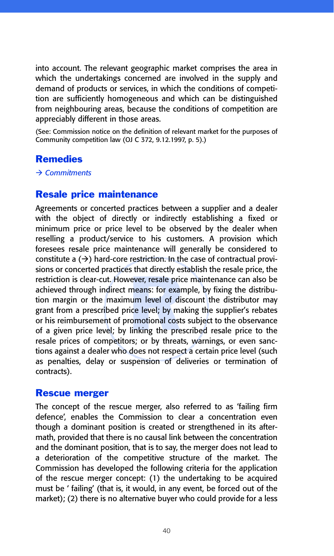into account. The relevant geographic market comprises the area in which the undertakings concerned are involved in the supply and demand of products or services, in which the conditions of competition are sufficiently homogeneous and which can be distinguished from neighbouring areas, because the conditions of competition are appreciably different in those areas.

(See: Commission notice on the definition of relevant market for the purposes of Community competition law (OJ C 372, 9.12.1997, p. 5).)

#### Remedies

#### - *Commitments*

#### Resale price maintenance

rever, resale pric<br>means: for exam<br>um level of dis<br>ice level; by ma<br>omotional costs<br>linking the pres Agreements or concerted practices between a supplier and a dealer with the object of directly or indirectly establishing a fixed or minimum price or price level to be observed by the dealer when reselling a product/service to his customers. A provision which foresees resale price maintenance will generally be considered to constitute a  $(\rightarrow)$  hard-core restriction. In the case of contractual provisions or concerted practices that directly establish the resale price, the restriction is clear-cut. However, resale price maintenance can also be achieved through indirect means: for example, by fixing the distribution margin or the maximum level of discount the distributor may grant from a prescribed price level; by making the supplier's rebates or his reimbursement of promotional costs subject to the observance of a given price level; by linking the prescribed resale price to the resale prices of competitors; or by threats, warnings, or even sanctions against a dealer who does not respect a certain price level (such as penalties, delay or suspension of deliveries or termination of contracts).

#### Rescue merger

The concept of the rescue merger, also referred to as 'failing firm defence', enables the Commission to clear a concentration even though a dominant position is created or strengthened in its aftermath, provided that there is no causal link between the concentration and the dominant position, that is to say, the merger does not lead to a deterioration of the competitive structure of the market. The Commission has developed the following criteria for the application of the rescue merger concept: (1) the undertaking to be acquired must be ' failing' (that is, it would, in any event, be forced out of the market); (2) there is no alternative buyer who could provide for a less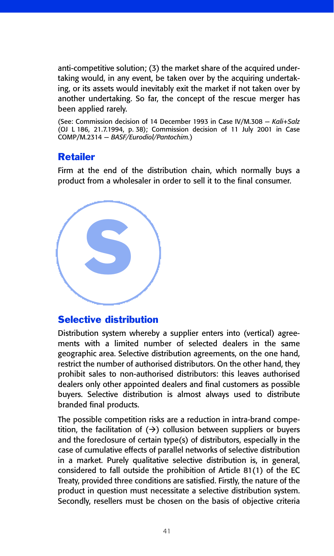anti-competitive solution; (3) the market share of the acquired undertaking would, in any event, be taken over by the acquiring undertaking, or its assets would inevitably exit the market if not taken over by another undertaking. So far, the concept of the rescue merger has been applied rarely.

(See: Commission decision of 14 December 1993 in Case IV/M.308 — *Kali+Salz* (OJ L 186, 21.7.1994, p. 38); Commission decision of 11 July 2001 in Case COMP/M.2314 — *BASF/Eurodiol/Pantochim.*)

## Retailer

Firm at the end of the distribution chain, which normally buys a product from a wholesaler in order to sell it to the final consumer.

S

## Selective distribution

Distribution system whereby a supplier enters into (vertical) agreements with a limited number of selected dealers in the same geographic area. Selective distribution agreements, on the one hand, restrict the number of authorised distributors. On the other hand, they prohibit sales to non-authorised distributors: this leaves authorised dealers only other appointed dealers and final customers as possible buyers. Selective distribution is almost always used to distribute branded final products.

The possible competition risks are a reduction in intra-brand competition, the facilitation of  $($   $\rightarrow)$  collusion between suppliers or buyers and the foreclosure of certain type(s) of distributors, especially in the case of cumulative effects of parallel networks of selective distribution in a market. Purely qualitative selective distribution is, in general, considered to fall outside the prohibition of Article 81(1) of the EC Treaty, provided three conditions are satisfied. Firstly, the nature of the product in question must necessitate a selective distribution system. Secondly, resellers must be chosen on the basis of objective criteria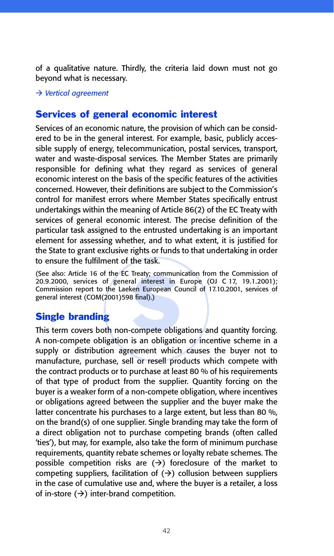of a qualitative nature. Thirdly, the criteria laid down must not go beyond what is necessary.

- *Vertical agreement*

## Services of general economic interest

Services of an economic nature, the provision of which can be considered to be in the general interest. For example, basic, publicly accessible supply of energy, telecommunication, postal services, transport, water and waste-disposal services. The Member States are primarily responsible for defining what they regard as services of general economic interest on the basis of the specific features of the activities concerned. However, their definitions are subject to the Commission's control for manifest errors where Member States specifically entrust undertakings within the meaning of Article 86(2) of the EC Treaty with services of general economic interest. The precise definition of the particular task assigned to the entrusted undertaking is an important element for assessing whether, and to what extent, it is justified for the State to grant exclusive rights or funds to that undertaking in order to ensure the fulfilment of the task.

Ireaty; communi<br>al interest in I<br>sen European Co<br>3 final).)<br>Compete obligatio (See also: Article 16 of the EC Treaty; communication from the Commission of 20.9.2000, services of general interest in Europe (OJ C 17, 19.1.2001); Commission report to the Laeken European Council of 17.10.2001, services of general interest (COM(2001)598 final).)

# Single branding

This term covers both non-compete obligations and quantity forcing. A non-compete obligation is an obligation or incentive scheme in a supply or distribution agreement which causes the buyer not to manufacture, purchase, sell or resell products which compete with the contract products or to purchase at least 80 % of his requirements of that type of product from the supplier. Quantity forcing on the buyer is a weaker form of a non-compete obligation, where incentives or obligations agreed between the supplier and the buyer make the latter concentrate his purchases to a large extent, but less than 80 %, on the brand(s) of one supplier. Single branding may take the form of a direct obligation not to purchase competing brands (often called 'ties'), but may, for example, also take the form of minimum purchase requirements, quantity rebate schemes or loyalty rebate schemes. The possible competition risks are  $(\rightarrow)$  foreclosure of the market to competing suppliers, facilitation of  $( \rightarrow )$  collusion between suppliers in the case of cumulative use and, where the buyer is a retailer, a loss of in-store  $(\rightarrow)$  inter-brand competition.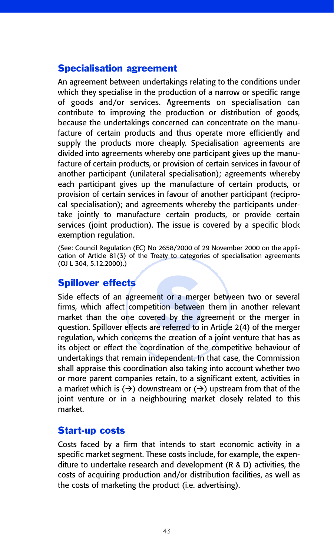## Specialisation agreement

An agreement between undertakings relating to the conditions under which they specialise in the production of a narrow or specific range of goods and/or services. Agreements on specialisation can contribute to improving the production or distribution of goods, because the undertakings concerned can concentrate on the manufacture of certain products and thus operate more efficiently and supply the products more cheaply. Specialisation agreements are divided into agreements whereby one participant gives up the manufacture of certain products, or provision of certain services in favour of another participant (unilateral specialisation); agreements whereby each participant gives up the manufacture of certain products, or provision of certain services in favour of another participant (reciprocal specialisation); and agreements whereby the participants undertake jointly to manufacture certain products, or provide certain services (joint production). The issue is covered by a specific block exemption regulation.

(See: Council Regulation (EC) No 2658/2000 of 29 November 2000 on the application of Article 81(3) of the Treaty to categories of specialisation agreements (OJ L 304, 5.12.2000).)

## Spillover effects

**Spillover effects**<br>Side effects of an agreement or a merger between two or several<br>firms, which affect competition between them in another relevant<br>market than the one covered by the agreement or the merger in<br>question. S Side effects of an agreement or a merger between two or several firms, which affect competition between them in another relevant market than the one covered by the agreement or the merger in question. Spillover effects are referred to in Article 2(4) of the merger its object or effect the coordination of the competitive behaviour of undertakings that remain independent. In that case, the Commission shall appraise this coordination also taking into account whether two or more parent companies retain, to a significant extent, activities in a market which is  $(\rightarrow)$  downstream or  $(\rightarrow)$  upstream from that of the joint venture or in a neighbouring market closely related to this market.

## Start-up costs

Costs faced by a firm that intends to start economic activity in a specific market segment. These costs include, for example, the expenditure to undertake research and development (R & D) activities, the costs of acquiring production and/or distribution facilities, as well as the costs of marketing the product (i.e. advertising).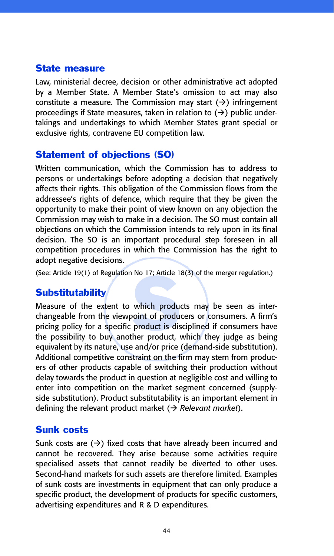#### State measure

Law, ministerial decree, decision or other administrative act adopted by a Member State. A Member State's omission to act may also constitute a measure. The Commission may start  $(\rightarrow)$  infringement proceedings if State measures, taken in relation to  $(\rightarrow)$  public undertakings and undertakings to which Member States grant special or exclusive rights, contravene EU competition law.

## Statement of objections (SO)

Written communication, which the Commission has to address to persons or undertakings before adopting a decision that negatively affects their rights. This obligation of the Commission flows from the addressee's rights of defence, which require that they be given the opportunity to make their point of view known on any objection the Commission may wish to make in a decision. The SO must contain all objections on which the Commission intends to rely upon in its final decision. The SO is an important procedural step foreseen in all competition procedures in which the Commission has the right to adopt negative decisions.

(See: Article 19(1) of Regulation No 17; Article 18(3) of the merger regulation.)

# **Substitutability**

Which production<br>which production<br>product is distement of product<br>ther product, v Measure of the extent to which products may be seen as interchangeable from the viewpoint of producers or consumers. A firm's pricing policy for a specific product is disciplined if consumers have the possibility to buy another product, which they judge as being equivalent by its nature, use and/or price (demand-side substitution). Additional competitive constraint on the firm may stem from producers of other products capable of switching their production without delay towards the product in question at negligible cost and willing to enter into competition on the market segment concerned (supplyside substitution). Product substitutability is an important element in defining the relevant product market ( $\rightarrow$  *Relevant market*).

#### Sunk costs

Sunk costs are  $(\rightarrow)$  fixed costs that have already been incurred and cannot be recovered. They arise because some activities require specialised assets that cannot readily be diverted to other uses. Second-hand markets for such assets are therefore limited. Examples of sunk costs are investments in equipment that can only produce a specific product, the development of products for specific customers, advertising expenditures and R & D expenditures.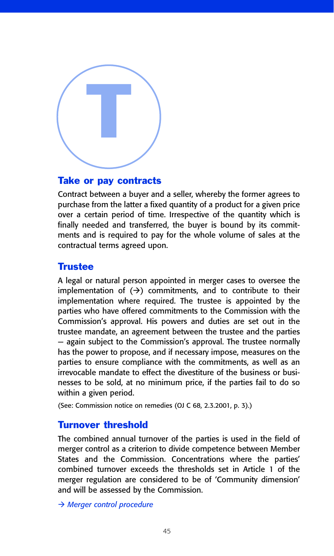

#### Take or pay contracts

Contract between a buyer and a seller, whereby the former agrees to purchase from the latter a fixed quantity of a product for a given price over a certain period of time. Irrespective of the quantity which is finally needed and transferred, the buyer is bound by its commitments and is required to pay for the whole volume of sales at the contractual terms agreed upon.

#### **Trustee**

A legal or natural person appointed in merger cases to oversee the implementation of  $(\rightarrow)$  commitments, and to contribute to their implementation where required. The trustee is appointed by the parties who have offered commitments to the Commission with the Commission's approval. His powers and duties are set out in the trustee mandate, an agreement between the trustee and the parties — again subject to the Commission's approval. The trustee normally has the power to propose, and if necessary impose, measures on the parties to ensure compliance with the commitments, as well as an irrevocable mandate to effect the divestiture of the business or businesses to be sold, at no minimum price, if the parties fail to do so within a given period.

(See: Commission notice on remedies (OJ C 68, 2.3.2001, p. 3).)

#### Turnover threshold

The combined annual turnover of the parties is used in the field of merger control as a criterion to divide competence between Member States and the Commission. Concentrations where the parties' combined turnover exceeds the thresholds set in Article 1 of the merger regulation are considered to be of 'Community dimension' and will be assessed by the Commission.

- *Merger control procedure*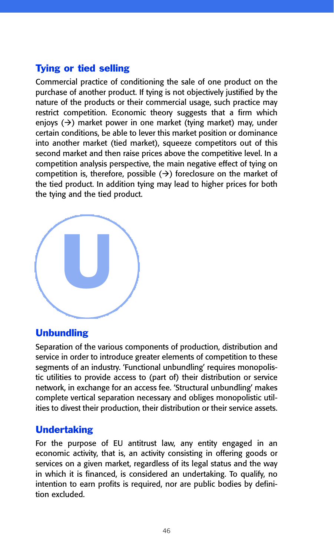# Tying or tied selling

Commercial practice of conditioning the sale of one product on the purchase of another product. If tying is not objectively justified by the nature of the products or their commercial usage, such practice may restrict competition. Economic theory suggests that a firm which enjoys (->) market power in one market (tying market) may, under certain conditions, be able to lever this market position or dominance into another market (tied market), squeeze competitors out of this second market and then raise prices above the competitive level. In a competition analysis perspective, the main negative effect of tying on competition is, therefore, possible  $(\rightarrow)$  foreclosure on the market of the tied product. In addition tying may lead to higher prices for both the tying and the tied product.



## Unbundling

Separation of the various components of production, distribution and service in order to introduce greater elements of competition to these segments of an industry. 'Functional unbundling' requires monopolistic utilities to provide access to (part of) their distribution or service network, in exchange for an access fee. 'Structural unbundling' makes complete vertical separation necessary and obliges monopolistic utilities to divest their production, their distribution or their service assets.

## Undertaking

For the purpose of EU antitrust law, any entity engaged in an economic activity, that is, an activity consisting in offering goods or services on a given market, regardless of its legal status and the way in which it is financed, is considered an undertaking. To qualify, no intention to earn profits is required, nor are public bodies by definition excluded.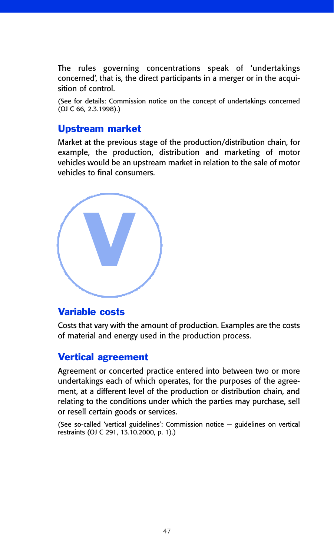The rules governing concentrations speak of 'undertakings concerned', that is, the direct participants in a merger or in the acquisition of control.

(See for details: Commission notice on the concept of undertakings concerned (OJ C 66, 2.3.1998).)

## Upstream market

Market at the previous stage of the production/distribution chain, for example, the production, distribution and marketing of motor vehicles would be an upstream market in relation to the sale of motor vehicles to final consumers.



#### Variable costs

Costs that vary with the amount of production. Examples are the costs of material and energy used in the production process.

#### Vertical agreement

Agreement or concerted practice entered into between two or more undertakings each of which operates, for the purposes of the agreement, at a different level of the production or distribution chain, and relating to the conditions under which the parties may purchase, sell or resell certain goods or services.

(See so-called 'vertical guidelines': Commission notice — guidelines on vertical restraints (OJ C 291, 13.10.2000, p. 1).)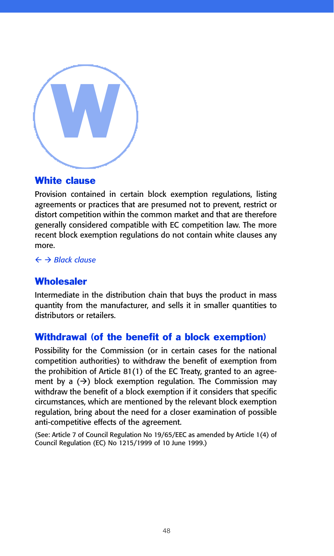

# White clause

Provision contained in certain block exemption regulations, listing agreements or practices that are presumed not to prevent, restrict or distort competition within the common market and that are therefore generally considered compatible with EC competition law. The more recent block exemption regulations do not contain white clauses any more.

- *Black clause*

# **Wholesaler**

Intermediate in the distribution chain that buys the product in mass quantity from the manufacturer, and sells it in smaller quantities to distributors or retailers.

## Withdrawal (of the benefit of a block exemption)

Possibility for the Commission (or in certain cases for the national competition authorities) to withdraw the benefit of exemption from the prohibition of Article 81(1) of the EC Treaty, granted to an agreement by a  $(\rightarrow)$  block exemption regulation. The Commission may withdraw the benefit of a block exemption if it considers that specific circumstances, which are mentioned by the relevant block exemption regulation, bring about the need for a closer examination of possible anti-competitive effects of the agreement.

(See: Article 7 of Council Regulation No 19/65/EEC as amended by Article 1(4) of Council Regulation (EC) No 1215/1999 of 10 June 1999.)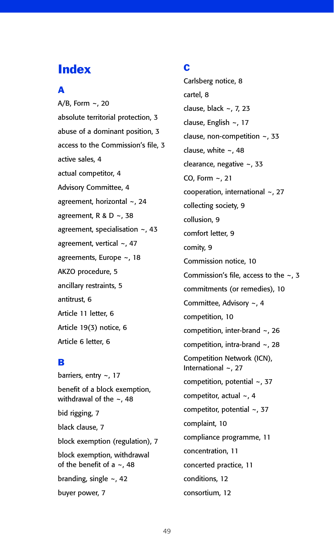# **Index**

#### A

A/B, Form ~, 20 absolute territorial protection, 3 abuse of a dominant position, 3 access to the Commission's file, 3 active sales, 4 actual competitor, 4 Advisory Committee, 4 agreement, horizontal ~, 24 agreement, R & D  $\sim$ , 38 agreement, specialisation ~, 43 agreement, vertical ~, 47 agreements, Europe ~, 18 AKZO procedure, 5 ancillary restraints, 5 antitrust, 6 Article 11 letter, 6 Article 19(3) notice, 6 Article 6 letter, 6

#### B

barriers, entry ~, 17 benefit of a block exemption, withdrawal of the  $\sim$ , 48 bid rigging, 7 black clause, 7 block exemption (regulation), 7 block exemption, withdrawal of the benefit of a  $\sim$ , 48 branding, single  $\sim$ , 42 buyer power, 7

#### C

Carlsberg notice, 8 cartel, 8 clause, black ~, 7, 23 clause, English ~, 17 clause, non-competition ~, 33 clause, white ~, 48 clearance, negative ~, 33 CO, Form ~, 21 cooperation, international ~, 27 collecting society, 9 collusion, 9 comfort letter, 9 comity, 9 Commission notice, 10 Commission's file, access to the ~, 3 commitments (or remedies), 10 Committee, Advisory ~, 4 competition, 10 competition, inter-brand ~, 26 competition, intra-brand ~, 28 Competition Network (ICN), International ~, 27 competition, potential ~, 37 competitor, actual ~, 4 competitor, potential ~, 37 complaint, 10 compliance programme, 11 concentration, 11 concerted practice, 11 conditions, 12 consortium, 12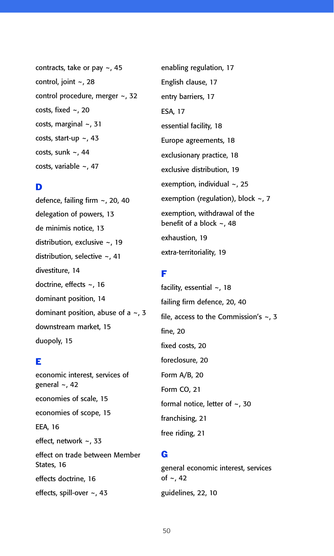contracts, take or pay  $\sim$ , 45 control, joint ~, 28 control procedure, merger ~, 32 costs, fixed  $\sim$ , 20 costs, marginal ~, 31 costs, start-up  $\sim$ , 43 costs, sunk  $\sim$ , 44 costs, variable ~, 47

#### D

defence, failing firm ~, 20, 40 delegation of powers, 13 de minimis notice, 13 distribution, exclusive ~, 19 distribution, selective ~, 41 divestiture, 14 doctrine, effects ~, 16 dominant position, 14 dominant position, abuse of a  $\sim$ , 3 downstream market, 15 duopoly, 15

#### E

economic interest, services of general ~, 42 economies of scale, 15 economies of scope, 15 EEA, 16 effect, network ~, 33 effect on trade between Member States, 16 effects doctrine, 16 effects, spill-over ~, 43

enabling regulation, 17 English clause, 17 entry barriers, 17 ESA, 17 essential facility, 18 Europe agreements, 18 exclusionary practice, 18 exclusive distribution, 19 exemption, individual ~, 25 exemption (regulation), block ~, 7 exemption, withdrawal of the benefit of a block ~, 48 exhaustion, 19 extra-territoriality, 19

#### F

facility, essential ~, 18 failing firm defence, 20, 40 file, access to the Commission's  $\sim$ , 3 fine, 20 fixed costs, 20 foreclosure, 20 Form A/B, 20 Form CO, 21 formal notice, letter of ~, 30 franchising, 21 free riding, 21

#### G

general economic interest, services of  $\sim$ , 42 guidelines, 22, 10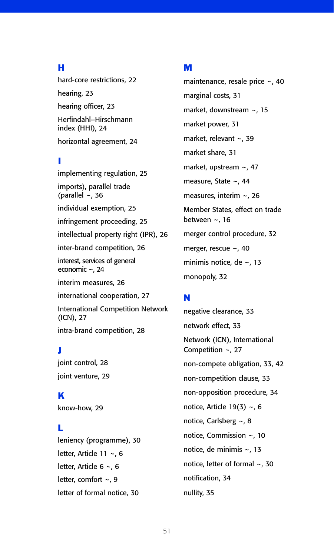#### H

hard-core restrictions, 22 hearing, 23 hearing officer, 23 Herfindahl–Hirschmann index (HHI), 24 horizontal agreement, 24

#### I

implementing regulation, 25 imports), parallel trade (parallel  $~\sim$ , 36 individual exemption, 25 infringement proceeding, 25 intellectual property right (IPR), 26 inter-brand competition, 26 interest, services of general economic ~, 24 interim measures, 26 international cooperation, 27 International Competition Network (ICN), 27 intra-brand competition, 28

#### J

joint control, 28 joint venture, 29

K know-how, 29

#### L

leniency (programme), 30 letter, Article 11 ~, 6 letter, Article 6 ~, 6 letter, comfort ~, 9 letter of formal notice, 30

#### M

maintenance, resale price ~, 40 marginal costs, 31 market, downstream ~, 15 market power, 31 market, relevant ~, 39 market share, 31 market, upstream ~, 47 measure, State ~, 44 measures, interim ~, 26 Member States, effect on trade between  $\sim$ , 16 merger control procedure, 32 merger, rescue ~, 40 minimis notice, de ~, 13 monopoly, 32

## N

negative clearance, 33 network effect, 33 Network (ICN), International Competition ~, 27 non-compete obligation, 33, 42 non-competition clause, 33 non-opposition procedure, 34 notice, Article 19(3) ~, 6 notice, Carlsberg ~, 8 notice, Commission ~, 10 notice, de minimis ~, 13 notice, letter of formal ~, 30 notification, 34 nullity, 35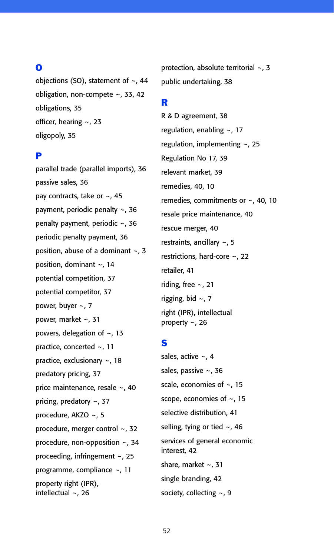#### O

objections (SO), statement of  $\sim$ , 44 obligation, non-compete ~, 33, 42 obligations, 35 officer, hearing ~, 23 oligopoly, 35

#### P

parallel trade (parallel imports), 36 passive sales, 36 pay contracts, take or ~, 45 payment, periodic penalty ~, 36 penalty payment, periodic ~, 36 periodic penalty payment, 36 position, abuse of a dominant  $\sim$ , 3 position, dominant ~, 14 potential competition, 37 potential competitor, 37 power, buyer ~, 7 power, market ~, 31 powers, delegation of ~, 13 practice, concerted ~, 11 practice, exclusionary ~, 18 predatory pricing, 37 price maintenance, resale ~, 40 pricing, predatory ~, 37 procedure, AKZO ~, 5 procedure, merger control ~, 32 procedure, non-opposition ~, 34 proceeding, infringement ~, 25 programme, compliance ~, 11 property right (IPR), intellectual ~, 26

protection, absolute territorial ~, 3 public undertaking, 38

#### R

R & D agreement, 38 regulation, enabling ~, 17 regulation, implementing ~, 25 Regulation No 17, 39 relevant market, 39 remedies, 40, 10 remedies, commitments or ~, 40, 10 resale price maintenance, 40 rescue merger, 40 restraints, ancillary ~, 5 restrictions, hard-core ~, 22 retailer, 41 riding, free ~, 21 rigging, bid ~, 7 right (IPR), intellectual property ~, 26

## S

sales, active ~, 4 sales, passive ~, 36 scale, economies of ~, 15 scope, economies of ~, 15 selective distribution, 41 selling, tying or tied ~, 46 services of general economic interest, 42 share, market ~, 31 single branding, 42 society, collecting ~, 9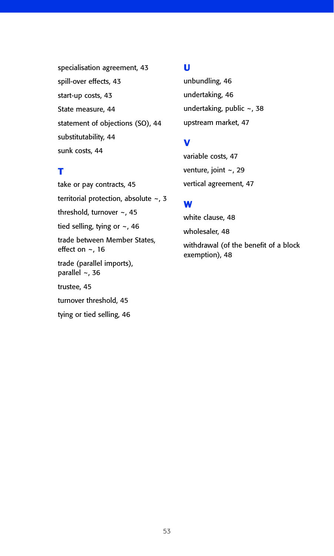specialisation agreement, 43 spill-over effects, 43 start-up costs, 43 State measure, 44 statement of objections (SO), 44 substitutability, 44 sunk costs, 44

#### T

take or pay contracts, 45 territorial protection, absolute ~, 3 threshold, turnover ~, 45 tied selling, tying or ~, 46 trade between Member States, effect on  $\sim$ , 16 trade (parallel imports), parallel  $\sim$ , 36 trustee, 45 turnover threshold, 45 tying or tied selling, 46

#### U

unbundling, 46 undertaking, 46 undertaking, public ~, 38 upstream market, 47

# V

variable costs, 47 venture, joint ~, 29 vertical agreement, 47

## W

white clause, 48 wholesaler, 48 withdrawal (of the benefit of a block exemption), 48